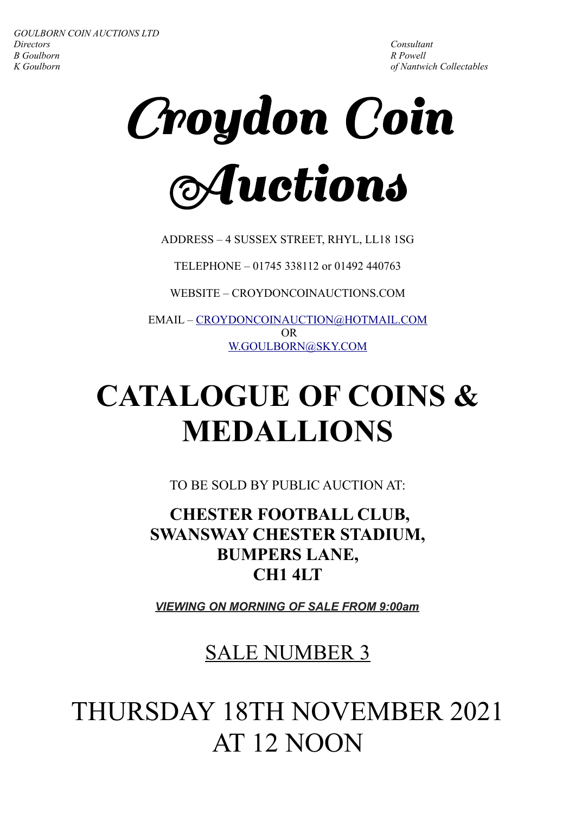<sup>C</sup>roydon Coin Auctions

ADDRESS – 4 SUSSEX STREET, RHYL, LL18 1SG

TELEPHONE – 01745 338112 or 01492 440763

WEBSITE – CROYDONCOINAUCTIONS.COM

EMAIL – [CROYDONCOINAUCTION@HOTMAIL.COM](mailto:CROYDONCOINAUCTION@HOTMAIL.COM) OR [W.GOULBORN@SKY.COM](mailto:W.GOULBORN@SKY.COM)

## **CATALOGUE OF COINS & MEDALLIONS**

TO BE SOLD BY PUBLIC AUCTION AT:

 **CHESTER FOOTBALL CLUB, SWANSWAY CHESTER STADIUM, BUMPERS LANE, CH1 4LT**

*VIEWING ON MORNING OF SALE FROM 9:00am*

### SALE NUMBER 3

### THURSDAY 18TH NOVEMBER 2021 AT 12 NOON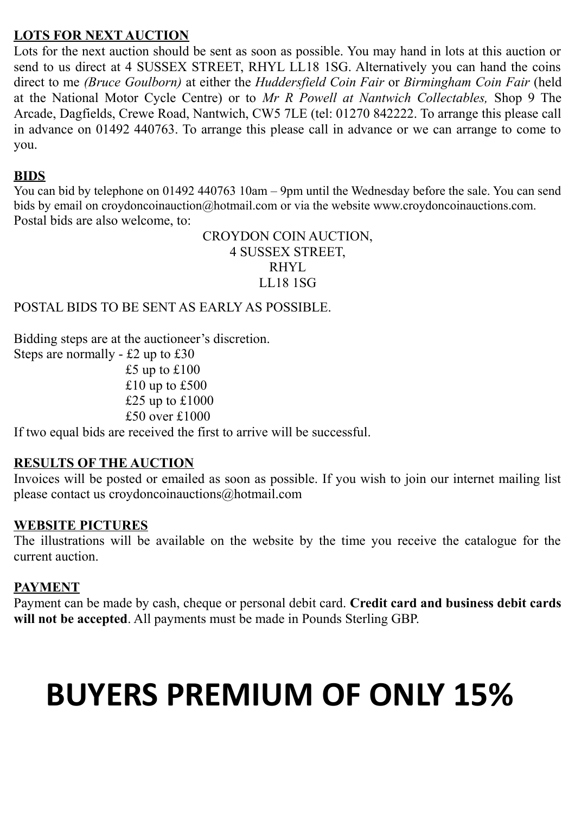#### **LOTS FOR NEXT AUCTION**

Lots for the next auction should be sent as soon as possible. You may hand in lots at this auction or send to us direct at 4 SUSSEX STREET, RHYL LL18 1SG. Alternatively you can hand the coins direct to me *(Bruce Goulborn)* at either the *Huddersfield Coin Fair* or *Birmingham Coin Fair* (held at the National Motor Cycle Centre) or to *Mr R Powell at Nantwich Collectables,* Shop 9 The Arcade, Dagfields, Crewe Road, Nantwich, CW5 7LE (tel: 01270 842222. To arrange this please call in advance on 01492 440763. To arrange this please call in advance or we can arrange to come to you.

#### **BIDS**

You can bid by telephone on 01492 440763 10am – 9pm until the Wednesday before the sale. You can send bids by email on croydoncoinauction@hotmail.com or via the website www.croydoncoinauctions.com. Postal bids are also welcome, to:

> CROYDON COIN AUCTION, 4 SUSSEX STREET, RHYL LL18 1SG

POSTAL BIDS TO BE SENT AS EARLY AS POSSIBLE.

Bidding steps are at the auctioneer's discretion.

Steps are normally - £2 up to £30 £5 up to  $£100$  $£10$  up to £500  $£25$  up to  $£1000$ £50 over £1000

If two equal bids are received the first to arrive will be successful.

#### **RESULTS OF THE AUCTION**

Invoices will be posted or emailed as soon as possible. If you wish to join our internet mailing list please contact us croydoncoinauctions@hotmail.com

#### **WEBSITE PICTURES**

The illustrations will be available on the website by the time you receive the catalogue for the current auction.

#### **PAYMENT**

Payment can be made by cash, cheque or personal debit card. **Credit card and business debit cards will not be accepted**. All payments must be made in Pounds Sterling GBP.

# **BUYERS PREMIUM OF ONLY 15%**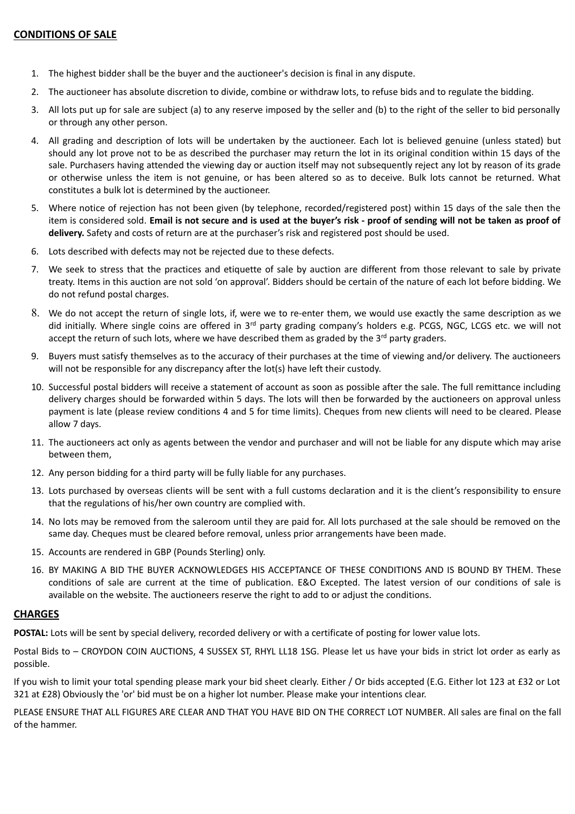- 1. The highest bidder shall be the buyer and the auctioneer's decision is final in any dispute.
- 2. The auctioneer has absolute discretion to divide, combine or withdraw lots, to refuse bids and to regulate the bidding.
- 3. All lots put up for sale are subject (a) to any reserve imposed by the seller and (b) to the right of the seller to bid personally or through any other person.
- 4. All grading and description of lots will be undertaken by the auctioneer. Each lot is believed genuine (unless stated) but should any lot prove not to be as described the purchaser may return the lot in its original condition within 15 days of the sale. Purchasers having attended the viewing day or auction itself may not subsequently reject any lot by reason of its grade or otherwise unless the item is not genuine, or has been altered so as to deceive. Bulk lots cannot be returned. What constitutes a bulk lot is determined by the auctioneer.
- 5. Where notice of rejection has not been given (by telephone, recorded/registered post) within 15 days of the sale then the item is considered sold. **Email is not secure and is used at the buyer's risk - proof of sending will not be taken as proof of delivery.** Safety and costs of return are at the purchaser's risk and registered post should be used.
- 6. Lots described with defects may not be rejected due to these defects.
- 7. We seek to stress that the practices and etiquette of sale by auction are different from those relevant to sale by private treaty. Items in this auction are not sold 'on approval'. Bidders should be certain of the nature of each lot before bidding. We do not refund postal charges.
- 8. We do not accept the return of single lots, if, were we to re-enter them, we would use exactly the same description as we did initially. Where single coins are offered in 3<sup>rd</sup> party grading company's holders e.g. PCGS, NGC, LCGS etc. we will not accept the return of such lots, where we have described them as graded by the  $3<sup>rd</sup>$  party graders.
- 9. Buyers must satisfy themselves as to the accuracy of their purchases at the time of viewing and/or delivery. The auctioneers will not be responsible for any discrepancy after the lot(s) have left their custody.
- 10. Successful postal bidders will receive a statement of account as soon as possible after the sale. The full remittance including delivery charges should be forwarded within 5 days. The lots will then be forwarded by the auctioneers on approval unless payment is late (please review conditions 4 and 5 for time limits). Cheques from new clients will need to be cleared. Please allow 7 days.
- 11. The auctioneers act only as agents between the vendor and purchaser and will not be liable for any dispute which may arise between them,
- 12. Any person bidding for a third party will be fully liable for any purchases.
- 13. Lots purchased by overseas clients will be sent with a full customs declaration and it is the client's responsibility to ensure that the regulations of his/her own country are complied with.
- 14. No lots may be removed from the saleroom until they are paid for. All lots purchased at the sale should be removed on the same day. Cheques must be cleared before removal, unless prior arrangements have been made.
- 15. Accounts are rendered in GBP (Pounds Sterling) only.
- 16. BY MAKING A BID THE BUYER ACKNOWLEDGES HIS ACCEPTANCE OF THESE CONDITIONS AND IS BOUND BY THEM. These conditions of sale are current at the time of publication. E&O Excepted. The latest version of our conditions of sale is available on the website. The auctioneers reserve the right to add to or adjust the conditions.

#### **CHARGES**

POSTAL: Lots will be sent by special delivery, recorded delivery or with a certificate of posting for lower value lots.

Postal Bids to – CROYDON COIN AUCTIONS, 4 SUSSEX ST, RHYL LL18 1SG. Please let us have your bids in strict lot order as early as possible.

If you wish to limit your total spending please mark your bid sheet clearly. Either / Or bids accepted (E.G. Either lot 123 at £32 or Lot 321 at £28) Obviously the 'or' bid must be on a higher lot number. Please make your intentions clear.

PLEASE ENSURE THAT ALL FIGURES ARE CLEAR AND THAT YOU HAVE BID ON THE CORRECT LOT NUMBER. All sales are final on the fall of the hammer.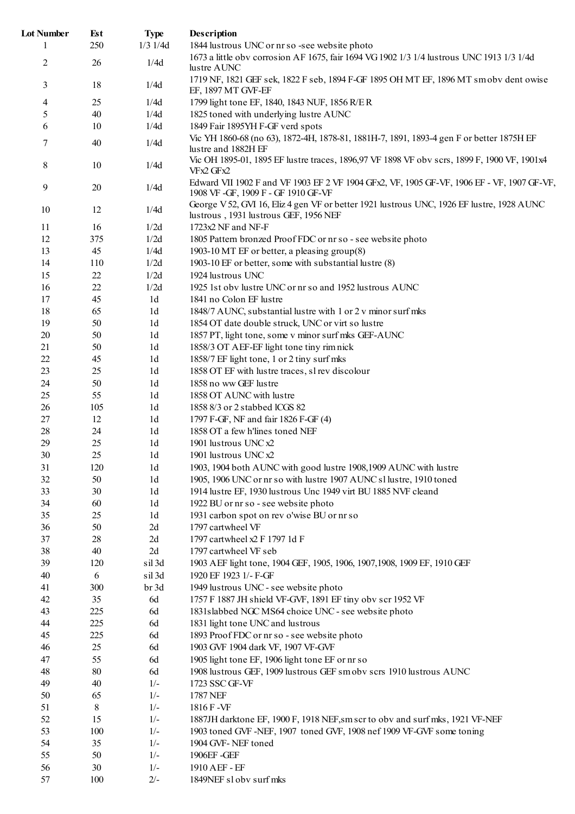| <b>Lot Number</b> | Est    | <b>Type</b>    | Description                                                                                                                        |
|-------------------|--------|----------------|------------------------------------------------------------------------------------------------------------------------------------|
| 1                 | 250    | $1/3$ $1/4d$   | 1844 lustrous UNC or nr so -see website photo                                                                                      |
| 2                 | 26     | 1/4d           | 1673 a little obv corrosion AF 1675, fair 1694 VG 1902 1/3 1/4 lustrous UNC 1913 1/3 1/4d<br>lustre AUNC                           |
| 3                 | 18     | 1/4d           | 1719 NF, 1821 GEF sek, 1822 F seb, 1894 F-GF 1895 OH MT EF, 1896 MT smoby dent owise<br>EF, 1897 MT GVF-EF                         |
| 4                 | 25     | 1/4d           | 1799 light tone EF, 1840, 1843 NUF, 1856 R/ER                                                                                      |
| 5                 | 40     | 1/4d           | 1825 toned with underlying lustre AUNC                                                                                             |
| 6                 | 10     | 1/4d           | 1849 Fair 1895YH F-GF verd spots                                                                                                   |
| 7                 | 40     | 1/4d           | Vic YH 1860-68 (no 63), 1872-4H, 1878-81, 1881H-7, 1891, 1893-4 gen F or better 1875H EF<br>lustre and 1882H EF                    |
| 8                 | $10\,$ | 1/4d           | Vic OH 1895-01, 1895 EF lustre traces, 1896,97 VF 1898 VF obv scrs, 1899 F, 1900 VF, 1901x4<br>VFx2 GFx2                           |
| 9                 | 20     | 1/4d           | Edward VII 1902 F and VF 1903 EF 2 VF 1904 GFx2, VF, 1905 GF-VF, 1906 EF - VF, 1907 GF-VF,<br>1908 VF-GF, 1909 F-GF 1910 GF-VF     |
| 10                | 12     | 1/4d           | George V 52, GVI 16, Eliz 4 gen VF or better 1921 lustrous UNC, 1926 EF lustre, 1928 AUNC<br>lustrous, 1931 lustrous GEF, 1956 NEF |
| 11                | 16     | 1/2d           | 1723x2 NF and NF-F                                                                                                                 |
| 12                | 375    | 1/2d           | 1805 Pattern bronzed Proof FDC or nr so - see website photo                                                                        |
| 13                | 45     | 1/4d           | 1903-10 MT EF or better, a pleasing group(8)                                                                                       |
| 14                | 110    | 1/2d           | 1903-10 EF or better, some with substantial lustre (8)                                                                             |
| 15                | 22     | 1/2d           | 1924 lustrous UNC                                                                                                                  |
| 16                | 22     | 1/2d           | 1925 1st obv lustre UNC or nr so and 1952 lustrous AUNC                                                                            |
|                   |        |                | 1841 no Colon EF lustre                                                                                                            |
| 17                | 45     | 1 <sub>d</sub> |                                                                                                                                    |
| 18                | 65     | 1 <sub>d</sub> | 1848/7 AUNC, substantial lustre with 1 or 2 v minor surf mks                                                                       |
| 19                | 50     | 1d             | 1854 OT date double struck, UNC or virt so lustre                                                                                  |
| $20\,$            | 50     | 1d             | 1857 PT, light tone, some v minor surf mks GEF-AUNC                                                                                |
| 21                | 50     | 1d             | 1858/3 OT AEF-EF light tone tiny rimnick                                                                                           |
| 22                | 45     | 1d             | 1858/7 EF light tone, 1 or 2 tiny surf mks                                                                                         |
| 23                | 25     | 1d             | 1858 OT EF with lustre traces, sl rev discolour                                                                                    |
| 24                | 50     | 1 <sub>d</sub> | 1858 no ww GEF lustre                                                                                                              |
| 25                | 55     | 1 <sub>d</sub> | 1858 OT AUNC with lustre                                                                                                           |
| 26                | 105    | 1 <sub>d</sub> | 1858 8/3 or 2 stabbed ICGS 82                                                                                                      |
| 27                | 12     | 1 <sub>d</sub> | 1797 F-GF, NF and fair 1826 F-GF (4)                                                                                               |
| $28\,$            | 24     | 1 <sub>d</sub> | 1858 OT a few h'lines toned NEF                                                                                                    |
|                   |        |                |                                                                                                                                    |
| 29                | 25     | 1d             | 1901 lustrous UNC x2                                                                                                               |
| 30                | 25     | 1 <sub>d</sub> | 1901 lustrous UNC x2                                                                                                               |
| 31                | 120    | 1d             | 1903, 1904 both AUNC with good lustre 1908, 1909 AUNC with lustre                                                                  |
| 32                | 50     | 1 <sub>d</sub> | 1905, 1906 UNC or nr so with lustre 1907 AUNC sl lustre, 1910 toned                                                                |
| 33                | 30     | 1 <sub>d</sub> | 1914 lustre EF, 1930 lustrous Unc 1949 virt BU 1885 NVF cleand                                                                     |
| 34                | 60     | 1 <sub>d</sub> | 1922 BU or nr so - see website photo                                                                                               |
| 35                | 25     | 1 <sub>d</sub> | 1931 carbon spot on rev o'wise BU or nr so                                                                                         |
| 36                | 50     | 2d             | 1797 cartwheel VF                                                                                                                  |
| 37                | 28     | 2d             | 1797 cartwheel x2 F 1797 1d F                                                                                                      |
| 38                | 40     | 2d             | 1797 cartwheel VF seb                                                                                                              |
| 39                | 120    | sil 3d         | 1903 AEF light tone, 1904 GEF, 1905, 1906, 1907, 1908, 1909 EF, 1910 GEF                                                           |
| 40                | 6      | sil 3d         | 1920 EF 1923 1/- F-GF                                                                                                              |
| 41                | 300    | br 3d          | 1949 lustrous UNC - see website photo                                                                                              |
| 42                | 35     | 6d             | 1757 F 1887 JH shield VF-GVF, 1891 EF tiny obv scr 1952 VF                                                                         |
|                   |        |                |                                                                                                                                    |
| 43                | 225    | 6d             | 1831slabbed NGC MS64 choice UNC - see website photo                                                                                |
| 44                | 225    | 6d             | 1831 light tone UNC and lustrous                                                                                                   |
| 45                | 225    | 6d             | 1893 Proof FDC or nr so - see website photo                                                                                        |
| 46                | 25     | 6d             | 1903 GVF 1904 dark VF, 1907 VF-GVF                                                                                                 |
| 47                | 55     | 6d             | 1905 light tone EF, 1906 light tone EF or nr so                                                                                    |
| 48                | 80     | 6d             | 1908 lustrous GEF, 1909 lustrous GEF smobv scrs 1910 lustrous AUNC                                                                 |
| 49                | 40     | $1/-$          | 1723 SSC GF-VF                                                                                                                     |
| 50                | 65     | $1/-$          | 1787 NEF                                                                                                                           |
| 51                | 8      | $1/-$          | 1816 F - VF                                                                                                                        |
| 52                | 15     | $1/-$          | 1887JH darktone EF, 1900 F, 1918 NEF, sm scr to obv and surf mks, 1921 VF-NEF                                                      |
| 53                | 100    | $1/-$          | 1903 toned GVF -NEF, 1907 toned GVF, 1908 nef 1909 VF-GVF some toning                                                              |
| 54                | 35     | $1/-$          | 1904 GVF-NEF toned                                                                                                                 |
| 55                | 50     | $1/-$          | 1906EF - GEF                                                                                                                       |
| 56                | 30     | $1/-$          | 1910 AEF - EF                                                                                                                      |
|                   |        |                |                                                                                                                                    |
| 57                | 100    | $2/-$          | 1849NEF sl obv surf mks                                                                                                            |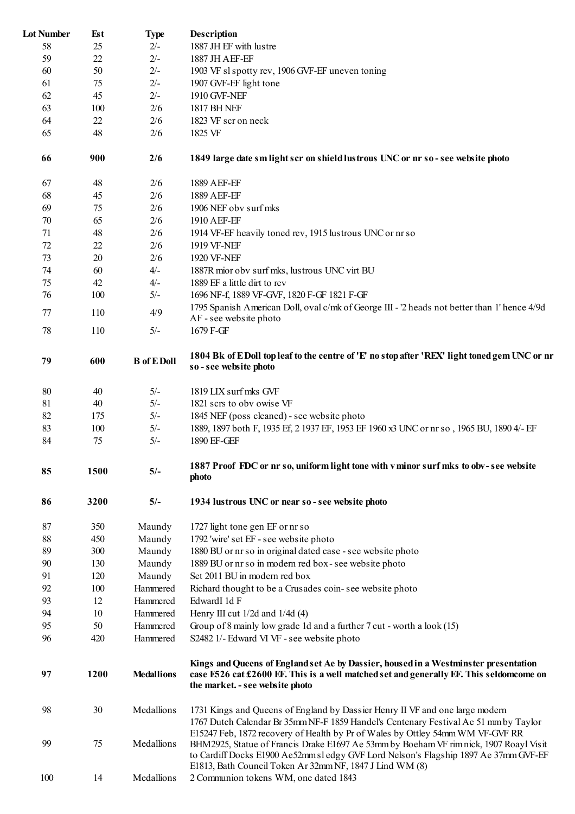| <b>Lot Number</b> | Est  | <b>Type</b>               | <b>Description</b>                                                                                                                                                                                                |
|-------------------|------|---------------------------|-------------------------------------------------------------------------------------------------------------------------------------------------------------------------------------------------------------------|
| 58                | 25   | $2/-$                     | 1887 JH EF with lustre                                                                                                                                                                                            |
| 59                | 22   | $2/-$                     | 1887 JH AEF-EF                                                                                                                                                                                                    |
| 60                | 50   | $2/-$                     | 1903 VF sl spotty rev, 1906 GVF-EF uneven toning                                                                                                                                                                  |
| 61                | 75   | $2/-$                     | 1907 GVF-EF light tone                                                                                                                                                                                            |
| 62                | 45   | $2/-$                     | 1910 GVF-NEF                                                                                                                                                                                                      |
| 63                | 100  | 2/6                       | <b>1817 BH NEF</b>                                                                                                                                                                                                |
| 64                | 22   | 2/6                       | 1823 VF scr on neck                                                                                                                                                                                               |
| 65                | 48   | 2/6                       | 1825 VF                                                                                                                                                                                                           |
| 66                | 900  | 2/6                       | 1849 large date sm light scr on shield lustrous UNC or nr so-see website photo                                                                                                                                    |
|                   |      |                           |                                                                                                                                                                                                                   |
| 67                | 48   | 2/6                       | 1889 AEF-EF                                                                                                                                                                                                       |
| 68                | 45   | 2/6                       | 1889 AEF-EF                                                                                                                                                                                                       |
| 69                | 75   | 2/6                       | 1906 NEF obv surf mks                                                                                                                                                                                             |
| 70                | 65   | 2/6                       | 1910 AEF-EF                                                                                                                                                                                                       |
| 71                | 48   | 2/6                       | 1914 VF-EF heavily toned rev, 1915 lustrous UNC or nr so                                                                                                                                                          |
| 72                | 22   | 2/6                       | 1919 VF-NEF                                                                                                                                                                                                       |
| 73                | 20   | 2/6                       | 1920 VF-NEF                                                                                                                                                                                                       |
| 74                | 60   | $4/-$                     | 1887R mior obv surf mks, lustrous UNC virt BU                                                                                                                                                                     |
| 75                | 42   | $4/-$                     | 1889 EF a little dirt to rev                                                                                                                                                                                      |
| 76                | 100  | $5/-$                     | 1696 NF-f, 1889 VF-GVF, 1820 F-GF 1821 F-GF                                                                                                                                                                       |
| 77                | 110  | 4/9                       | 1795 Spanish American Doll, oval c/mk of George III - '2 heads not better than 1' hence 4/9d<br>AF - see website photo                                                                                            |
| 78                | 110  | $5/-$                     | 1679 F-GF                                                                                                                                                                                                         |
| 79                | 600  | <b>B</b> of <b>E</b> Doll | 1804 Bk of EDoll top leaf to the centre of 'E' no stop after 'REX' light toned gem UNC or nr<br>so - see website photo                                                                                            |
| 80                | 40   | $5/-$                     | 1819 LIX surf mks GVF                                                                                                                                                                                             |
| 81                | 40   | $5/-$                     | 1821 scrs to obv owise VF                                                                                                                                                                                         |
| 82                | 175  | $5/-$                     | 1845 NEF (poss cleaned) - see website photo                                                                                                                                                                       |
| 83                | 100  | $5/-$                     | 1889, 1897 both F, 1935 Ef, 2 1937 EF, 1953 EF 1960 x3 UNC or nr so, 1965 BU, 1890 4/- EF                                                                                                                         |
| 84                | 75   | $5/-$                     | 1890 EF-GEF                                                                                                                                                                                                       |
| 85                | 1500 | $5/-$                     | 1887 Proof FDC or nr so, uniform light tone with v minor surf mks to obv-see website<br>photo                                                                                                                     |
| 86                | 3200 | $5/-$                     | 1934 lustrous UNC or near so - see website photo                                                                                                                                                                  |
| 87                | 350  | Maundy                    | 1727 light tone gen EF or nr so                                                                                                                                                                                   |
| 88                | 450  | Maundy                    | 1792 'wire' set EF - see website photo                                                                                                                                                                            |
| 89                | 300  | Maundy                    | 1880 BU or nr so in original dated case - see website photo                                                                                                                                                       |
| 90                | 130  | Maundy                    | 1889 BU or nr so in modern red box-see website photo                                                                                                                                                              |
| 91                | 120  | Maundy                    | Set 2011 BU in modern red box                                                                                                                                                                                     |
| 92                | 100  | Hammered                  | Richard thought to be a Crusades coin-see website photo                                                                                                                                                           |
| 93                | 12   | Hammered                  | EdwardI 1d F                                                                                                                                                                                                      |
| 94                | 10   | Hammered                  | Henry III cut 1/2d and 1/4d (4)                                                                                                                                                                                   |
| 95                | 50   | Hammered                  | Group of 8 mainly low grade 1d and a further $7 \text{ cut}$ - worth a look (15)                                                                                                                                  |
| 96                | 420  | Hammered                  | S2482 1/- Edward VI VF - see website photo                                                                                                                                                                        |
|                   |      |                           |                                                                                                                                                                                                                   |
| 97                | 1200 | <b>Medallions</b>         | Kings and Queens of England set Ae by Dassier, housed in a Westminster presentation<br>case E526 cat £2600 EF. This is a well matched set and generally EF. This seldomcome on<br>the market. - see website photo |
| 98                | 30   | Medallions                | 1731 Kings and Queens of England by Dassier Henry II VF and one large modern<br>1767 Dutch Calendar Br 35mm NF-F 1859 Handel's Centenary Festival Ae 51 mm by Taylor                                              |
| 99                | 75   | Medallions                | E15247 Feb, 1872 recovery of Health by Pr of Wales by Ottley 54mm WM VF-GVF RR<br>BHM2925, Statue of Francis Drake E1697 Ae 53mm by Boeham VF rim nick, 1907 Roayl Visit                                          |
|                   |      |                           | to Cardiff Docks E1900 Ae52mm sl edgy GVF Lord Nelson's Flagship 1897 Ae 37mm GVF-EF<br>E1813, Bath Council Token Ar 32mm NF, 1847 J Lind WM (8)                                                                  |
| 100               | 14   | Medallions                | 2 Communion tokens WM, one dated 1843                                                                                                                                                                             |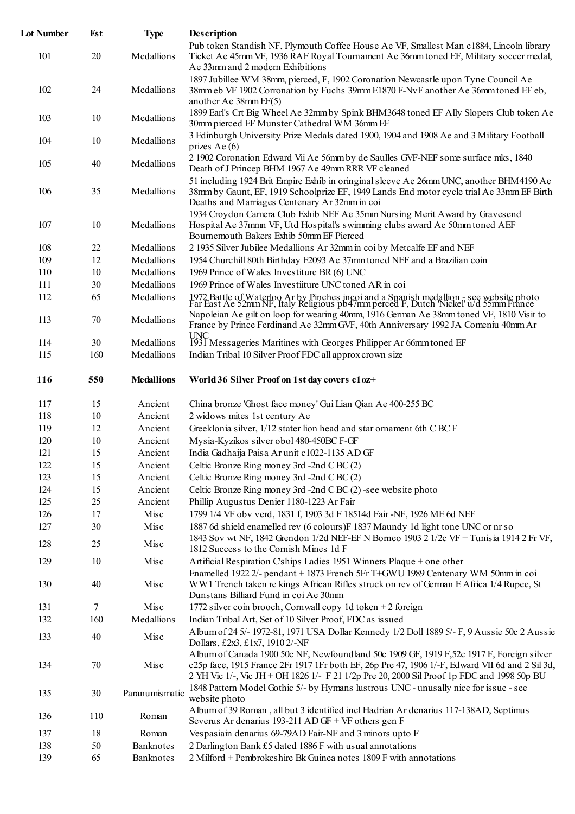| <b>Lot Number</b> | Est       | <b>Type</b>        | <b>Description</b>                                                                                                                                                                                                                                                      |
|-------------------|-----------|--------------------|-------------------------------------------------------------------------------------------------------------------------------------------------------------------------------------------------------------------------------------------------------------------------|
| 101               | 20        | Medallions         | Pub token Standish NF, Plymouth Coffee House Ae VF, Smallest Man c1884, Lincoln library<br>Ticket Ae 45mm VF, 1936 RAF Royal Tournament Ae 36mm toned EF, Military soccer medal,<br>Ae 33mm and 2 modern Exhibitions                                                    |
| 102               | 24        | Medallions         | 1897 Jubillee WM 38mm, pierced, F, 1902 Coronation Newcastle upon Tyne Council Ae<br>38mm eb VF 1902 Corronation by Fuchs 39mm E1870 F-NvF another Ae 36mm toned EF eb,                                                                                                 |
| 103               | 10        | Medallions         | another Ae 38mm EF(5)<br>1899 Earl's Crt Big Wheel Ae 32mm by Spink BHM3648 toned EF Ally Slopers Club token Ae<br>30mm pierced EF Munster Cathedral WM 36mm EF                                                                                                         |
| 104               | 10        | Medallions         | 3 Edinburgh University Prize Medals dated 1900, 1904 and 1908 Ae and 3 Military Football<br>prizes Ae $(6)$                                                                                                                                                             |
| 105               | 40        | Medallions         | 2 1902 Coronation Edward Vii Ae 56mm by de Saulles GVF-NEF some surface mks, 1840<br>Death of J Princep BHM 1967 Ae 49mm RRR VF cleaned                                                                                                                                 |
| 106               | 35        | Medallions         | 51 including 1924 Brit Empire Exhib in oringinal sleeve Ae 26mm UNC, another BHM4190 Ae<br>38mm by Gaunt, EF, 1919 Schoolprize EF, 1949 Lands End motor cycle trial Ae 33mm EF Birth<br>Deaths and Marriages Centenary Ar 32mm in coi                                   |
| 107               | 10        | Medallions         | 1934 Croydon Camera Club Exhib NEF Ae 35mm Nursing Merit Award by Gravesend<br>Hospital Ae 37mm VF, Utd Hospital's swimming clubs award Ae 50mm toned AEF<br>Bournemouth Bakers Exhib 50mm EF Pierced                                                                   |
| 108               | 22        | Medallions         | 2 1935 Silver Jubilee Medallions Ar 32mm in coi by Metcalfe EF and NEF                                                                                                                                                                                                  |
| 109               | 12        | Medallions         | 1954 Churchill 80th Birthday E2093 Ae 37mm toned NEF and a Brazilian coin                                                                                                                                                                                               |
| 110               | 10        | Medallions         | 1969 Prince of Wales Investiture BR (6) UNC                                                                                                                                                                                                                             |
| 111               | 30        | Medallions         | 1969 Prince of Wales Investiture UNC toned AR in coi                                                                                                                                                                                                                    |
| 112               | 65        | Medallions         |                                                                                                                                                                                                                                                                         |
| 113               | 70        | Medallions         | 1972 Battle of Waterloo Ar by Pinches incoi and a Spanish medallion - see website photo Far East Ae 52mm NF, Italy Religious pb47mm perced F, Dutch 'Nickel' u/d 55mm France<br>Napoleian Ae gilt on loop for wearing 40mm, 1916 German Ae 38mm toned VF, 1810 Visit to |
|                   |           |                    | France by Prince Ferdinand Ae 32mm GVF, 40th Anniversary 1992 JA Comeniu 40mm Ar                                                                                                                                                                                        |
| 114               | 30        | Medallions         | UNC<br>1931 Messageries Maritines with Georges Philipper Ar 66mm toned EF                                                                                                                                                                                               |
| 115               | 160       | Medallions         | Indian Tribal 10 Silver Proof FDC all approx crown size                                                                                                                                                                                                                 |
| 116               | 550       | <b>Medallions</b>  | World 36 Silver Proof on 1st day covers c1oz+                                                                                                                                                                                                                           |
| 117               | 15        | Ancient            | China bronze 'Ghost face money' Gui Lian Qian Ae 400-255 BC                                                                                                                                                                                                             |
| 118               | 10        | Ancient            | 2 widows mites 1st century Ae                                                                                                                                                                                                                                           |
| 119               | 12        | Ancient            | GreekIonia silver, 1/12 stater lion head and star ornament 6th CBCF                                                                                                                                                                                                     |
| 120               | 10        | Ancient            | Mysia-Kyzikos silver obol 480-450BC F-GF                                                                                                                                                                                                                                |
| 121               | 15        | Ancient            | India Gadhaija Paisa Ar unit c1022-1135 AD GF                                                                                                                                                                                                                           |
| 122               | 15        | Ancient            | Celtic Bronze Ring money 3rd -2nd C BC (2)                                                                                                                                                                                                                              |
| 123               | 15        | Ancient            | Celtic Bronze Ring money 3rd -2nd C BC (2)                                                                                                                                                                                                                              |
| 124               | 15        | Ancient            | Celtic Bronze Ring money 3rd -2nd C BC (2) -see website photo                                                                                                                                                                                                           |
| 125               | 25        | Ancient            | Phillip Augustus Denier 1180-1223 Ar Fair                                                                                                                                                                                                                               |
| 126               | 17        | Misc               | 1799 1/4 VF obv verd, 1831 f, 1903 3d F 18514d Fair -NF, 1926 ME 6d NEF                                                                                                                                                                                                 |
| 127               | 30        | Misc               | 1887 6d shield enamelled rev (6 colours)F 1837 Maundy 1d light tone UNC or nr so                                                                                                                                                                                        |
| 128               | 25        | Misc               | 1843 Sov wt NF, 1842 Grendon 1/2d NEF-EF N Borneo 1903 2 1/2c VF + Tunisia 1914 2 Fr VF,<br>1812 Success to the Cornish Mines 1d F                                                                                                                                      |
| 129               | 10        | Misc               | Artificial Respiration C'ships Ladies 1951 Winners Plaque + one other                                                                                                                                                                                                   |
| 130               | 40        | Misc               | Enamelled 1922 2/- pendant + 1873 French 5Fr T+GWU 1989 Centenary WM 50mm in coi<br>WW1 Trench taken re kings African Rifles struck on rev of German E Africa 1/4 Rupee, St                                                                                             |
| 131               |           |                    | Dunstans Billiard Fund in coi Ae 30mm                                                                                                                                                                                                                                   |
|                   | 7         | Misc               | 1772 silver coin brooch, Cornwall copy 1d token $+2$ foreign                                                                                                                                                                                                            |
| 132<br>133        | 160<br>40 | Medallions<br>Misc | Indian Tribal Art, Set of 10 Silver Proof, FDC as issued<br>Album of 24 5/- 1972-81, 1971 USA Dollar Kennedy 1/2 Doll 1889 5/- F, 9 Aussie 50c 2 Aussie                                                                                                                 |
|                   |           |                    | Dollars, £2x3, £1x7, 1910 2/-NF<br>Album of Canada 1900 50c NF, Newfoundland 50c 1909 GF, 1919 F,52c 1917 F, Foreign silver                                                                                                                                             |
| 134               | 70        | Misc               | c25p face, 1915 France 2Fr 1917 1Fr both EF, 26p Pre 47, 1906 1/-F, Edward VII 6d and 2 Sil 3d,<br>2 YH Vic 1/-, Vic JH + OH 1826 1/- F 21 1/2p Pre 20, 2000 Sil Proof 1p FDC and 1998 50p BU                                                                           |
| 135               | 30        | Paranumismatic     | 1848 Pattern Model Gothic 5/- by Hymans lustrous UNC - unusally nice for issue - see<br>website photo                                                                                                                                                                   |
| 136               | 110       | Roman              | Album of 39 Roman, all but 3 identified incl Hadrian Ar denarius 117-138AD, Septimus<br>Severus Ar denarius 193-211 AD GF + VF others gen F                                                                                                                             |
| 137               | 18        | Roman              | Vespasiain denarius 69-79AD Fair-NF and 3 minors upto F                                                                                                                                                                                                                 |
| 138               | 50        | Banknotes          | 2 Darlington Bank £5 dated 1886 F with usual annotations                                                                                                                                                                                                                |
| 139               | 65        | Banknotes          | 2 Milford + Pembrokeshire Bk Guinea notes 1809 F with annotations                                                                                                                                                                                                       |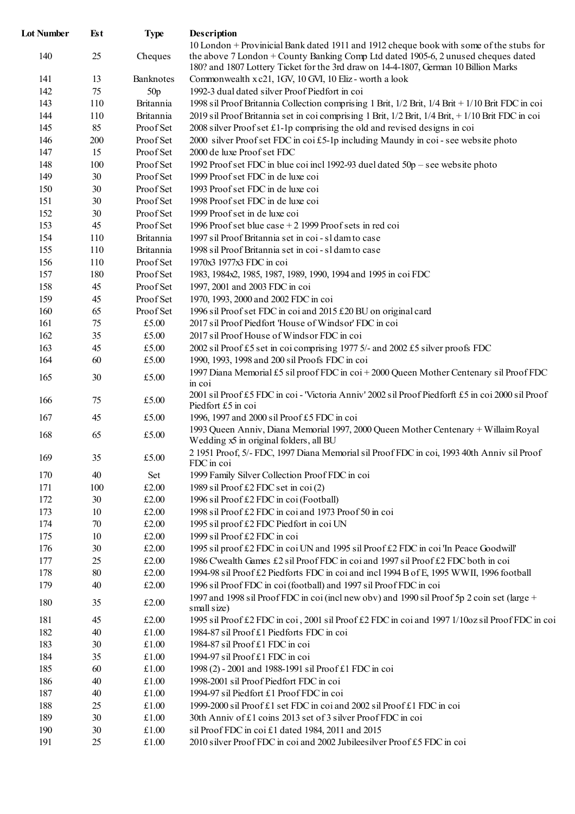| <b>Lot Number</b> | Est | <b>Type</b> | <b>Description</b>                                                                                                                                                                                                                                                  |
|-------------------|-----|-------------|---------------------------------------------------------------------------------------------------------------------------------------------------------------------------------------------------------------------------------------------------------------------|
| 140               | 25  | Cheques     | 10 London + Provinicial Bank dated 1911 and 1912 cheque book with some of the stubs for<br>the above 7 London + County Banking Comp Ltd dated 1905-6, 2 unused cheques dated<br>180? and 1807 Lottery Ticket for the 3rd draw on 14-4-1807, German 10 Billion Marks |
| 141               | 13  | Banknotes   | Commonwealth x c21, 1GV, 10 GVI, 10 Eliz - worth a look                                                                                                                                                                                                             |
| 142               | 75  | 50p         | 1992-3 dual dated silver Proof Piedfort in coi                                                                                                                                                                                                                      |
| 143               | 110 | Britannia   | 1998 sil Proof Britannia Collection comprising 1 Brit, 1/2 Brit, 1/4 Brit + 1/10 Brit FDC in coi                                                                                                                                                                    |
| 144               | 110 | Britannia   | 2019 sil Proof Britannia set in coi comprising 1 Brit, 1/2 Brit, 1/4 Brit, + 1/10 Brit FDC in coi                                                                                                                                                                   |
| 145               | 85  | Proof Set   | 2008 silver Proof set £1-1p comprising the old and revised designs in coi                                                                                                                                                                                           |
| 146               | 200 | Proof Set   | 2000 silver Proof set FDC in coi £5-1p including Maundy in coi-see website photo                                                                                                                                                                                    |
| 147               | 15  | Proof Set   | 2000 de luxe Proof set FDC                                                                                                                                                                                                                                          |
| 148               | 100 | Proof Set   | 1992 Proof set FDC in blue coi incl 1992-93 duel dated $50p$ – see website photo                                                                                                                                                                                    |
| 149               | 30  | Proof Set   | 1999 Proof set FDC in de luxe coi                                                                                                                                                                                                                                   |
| 150               | 30  | Proof Set   | 1993 Proof set FDC in de luxe coi                                                                                                                                                                                                                                   |
| 151               | 30  | Proof Set   | 1998 Proof set FDC in de luxe coi                                                                                                                                                                                                                                   |
| 152               | 30  | Proof Set   | 1999 Proof set in de luxe coi                                                                                                                                                                                                                                       |
| 153               | 45  | Proof Set   | 1996 Proof set blue case $+2$ 1999 Proof sets in red coi                                                                                                                                                                                                            |
| 154               | 110 | Britannia   | 1997 sil Proof Britannia set in coi - sl damto case                                                                                                                                                                                                                 |
| 155               | 110 | Britannia   | 1998 sil Proof Britannia set in coi - sl dam to case                                                                                                                                                                                                                |
| 156               | 110 | Proof Set   | 1970x3 1977x3 FDC in coi                                                                                                                                                                                                                                            |
| 157               | 180 | Proof Set   | 1983, 1984x2, 1985, 1987, 1989, 1990, 1994 and 1995 in coi FDC                                                                                                                                                                                                      |
| 158               | 45  | Proof Set   | 1997, 2001 and 2003 FDC in coi                                                                                                                                                                                                                                      |
| 159               | 45  | Proof Set   | 1970, 1993, 2000 and 2002 FDC in coi                                                                                                                                                                                                                                |
| 160               | 65  | Proof Set   | 1996 sil Proof set FDC in coi and 2015 £20 BU on original card                                                                                                                                                                                                      |
| 161               | 75  | £5.00       | 2017 sil Proof Piedfort 'House of Windsor' FDC in coi                                                                                                                                                                                                               |
| 162               | 35  | £5.00       | 2017 sil Proof House of Windsor FDC in coi                                                                                                                                                                                                                          |
| 163               | 45  | £5.00       | 2002 sil Proof £5 set in coi comprising 1977 5/- and 2002 £5 silver proofs FDC                                                                                                                                                                                      |
| 164               | 60  | £5.00       | 1990, 1993, 1998 and 200 sil Proofs FDC in coi                                                                                                                                                                                                                      |
|                   |     |             |                                                                                                                                                                                                                                                                     |
| 165               | 30  | £5.00       | 1997 Diana Memorial £5 sil proof FDC in coi + 2000 Queen Mother Centenary sil Proof FDC<br>in coi                                                                                                                                                                   |
| 166               | 75  | £5.00       | 2001 sil Proof £5 FDC in coi - 'Victoria Anniv' 2002 sil Proof Piedforft £5 in coi 2000 sil Proof<br>Piedfort £5 in coi                                                                                                                                             |
| 167               | 45  | £5.00       | 1996, 1997 and 2000 sil Proof £5 FDC in coi                                                                                                                                                                                                                         |
| 168               | 65  | £5.00       | 1993 Queen Anniv, Diana Memorial 1997, 2000 Queen Mother Centenary + Willaim Royal<br>Wedding x5 in original folders, all BU                                                                                                                                        |
| 169               | 35  | £5.00       | 2 1951 Proof, 5/- FDC, 1997 Diana Memorial sil Proof FDC in coi, 1993 40th Anniv sil Proof<br>FDC in coi                                                                                                                                                            |
| 170               | 40  | Set         | 1999 Family Silver Collection Proof FDC in coi                                                                                                                                                                                                                      |
| 171               | 100 | £2.00       | 1989 sil Proof £2 FDC set in coi $(2)$                                                                                                                                                                                                                              |
| 172               | 30  | £2.00       | 1996 sil Proof £2 FDC in coi (Football)                                                                                                                                                                                                                             |
| 173               | 10  | £2.00       | 1998 sil Proof £2 FDC in coi and 1973 Proof 50 in coi                                                                                                                                                                                                               |
| 174               | 70  | £2.00       | 1995 sil proof £2 FDC Piedfort in coi UN                                                                                                                                                                                                                            |
| 175               | 10  | £2.00       | 1999 sil Proof £2 FDC in coi                                                                                                                                                                                                                                        |
| 176               | 30  | £2.00       | 1995 sil proof £2 FDC in coi UN and 1995 sil Proof £2 FDC in coi 'In Peace Goodwill'                                                                                                                                                                                |
| 177               | 25  | £2.00       | 1986 C'wealth Games £2 sil Proof FDC in coi and 1997 sil Proof £2 FDC both in coi                                                                                                                                                                                   |
| 178               | 80  | £2.00       | 1994-98 sil Proof £2 Piedforts FDC in coi and incl 1994 B of E, 1995 WWII, 1996 football                                                                                                                                                                            |
| 179               | 40  | £2.00       | 1996 sil Proof FDC in coi (football) and 1997 sil Proof FDC in coi                                                                                                                                                                                                  |
| 180               | 35  | £2.00       | 1997 and 1998 sil Proof FDC in coi (include Nov) and 1990 sil Proof 5p 2 coin set (large +<br>small size)                                                                                                                                                           |
| 181               | 45  | £2.00       | 1995 sil Proof £2 FDC in coi, 2001 sil Proof £2 FDC in coi and 1997 1/10oz sil Proof FDC in coi                                                                                                                                                                     |
| 182               | 40  | £1.00       | 1984-87 sil Proof £1 Piedforts FDC in coi                                                                                                                                                                                                                           |
| 183               | 30  | £1.00       | 1984-87 sil Proof £1 FDC in coi                                                                                                                                                                                                                                     |
| 184               | 35  | £1.00       | 1994-97 sil Proof £1 FDC in coi                                                                                                                                                                                                                                     |
| 185               | 60  | £1.00       | 1998 (2) - 2001 and 1988-1991 sil Proof £1 FDC in coi                                                                                                                                                                                                               |
| 186               | 40  | £1.00       | 1998-2001 sil Proof Piedfort FDC in coi                                                                                                                                                                                                                             |
| 187               | 40  | £1.00       | 1994-97 sil Piedfort £1 Proof FDC in coi                                                                                                                                                                                                                            |
| 188               | 25  | £1.00       | 1999-2000 sil Proof £1 set FDC in coi and 2002 sil Proof £1 FDC in coi                                                                                                                                                                                              |
| 189               | 30  | £1.00       | 30th Anniv of £1 coins 2013 set of 3 silver Proof FDC in coi                                                                                                                                                                                                        |
| 190               | 30  | £1.00       | sil Proof FDC in coi £1 dated 1984, 2011 and 2015                                                                                                                                                                                                                   |
| 191               | 25  | £1.00       | 2010 silver Proof FDC in coi and 2002 Jubileesilver Proof £5 FDC in coi                                                                                                                                                                                             |
|                   |     |             |                                                                                                                                                                                                                                                                     |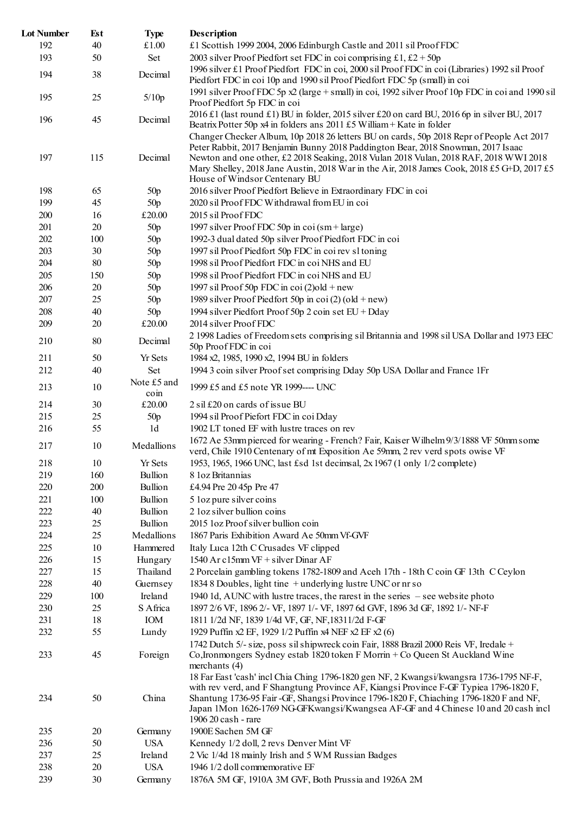| <b>Lot Number</b> | Est    | <b>Type</b>                            | Description                                                                                                                                                                                                          |
|-------------------|--------|----------------------------------------|----------------------------------------------------------------------------------------------------------------------------------------------------------------------------------------------------------------------|
| 192               | 40     | £1.00                                  | £1 Scottish 1999 2004, 2006 Edinburgh Castle and 2011 sil Proof FDC                                                                                                                                                  |
| 193               | 50     | Set                                    | 2003 silver Proof Piedfort set FDC in coi comprising £1, £2 + 50p                                                                                                                                                    |
| 194               | 38     | Decimal                                | 1996 silver £1 Proof Piedfort FDC in coi, 2000 sil Proof FDC in coi (Libraries) 1992 sil Proof<br>Piedfort FDC in coi 10p and 1990 sil Proof Piedfort FDC 5p (small) in coi                                          |
| 195               | 25     | 5/10p                                  | 1991 silver Proof FDC 5p x2 (large + small) in coi, 1992 silver Proof 10p FDC in coi and 1990 sil<br>Proof Piedfort 5p FDC in coi                                                                                    |
| 196               | 45     | Decimal                                | 2016 £1 (last round £1) BU in folder, 2015 silver £20 on card BU, 2016 6p in silver BU, 2017<br>Beatrix Potter 50p x4 in folders ans 2011 £5 William + Kate in folder                                                |
|                   |        |                                        | Changer Checker Album, 10p 2018 26 letters BU on cards, 50p 2018 Repr of People Act 2017<br>Peter Rabbit, 2017 Benjamin Bunny 2018 Paddington Bear, 2018 Snowman, 2017 Isaac                                         |
| 197               | 115    | Decimal                                | Newton and one other, £2 2018 Seaking, 2018 Vulan 2018 Vulan, 2018 RAF, 2018 WWI 2018<br>Mary Shelley, 2018 Jane Austin, 2018 War in the Air, 2018 James Cook, 2018 £5 G+D, 2017 £5<br>House of Windsor Centenary BU |
| 198               | 65     | 50p                                    | 2016 silver Proof Piedfort Believe in Extraordinary FDC in coi                                                                                                                                                       |
| 199               | 45     | 50p                                    | 2020 sil Proof FDC Withdrawal from EU in coi                                                                                                                                                                         |
| 200               | 16     | £20.00                                 | 2015 sil Proof FDC                                                                                                                                                                                                   |
| 201               | 20     | 50p                                    | 1997 silver Proof FDC 50p in coi $(\text{sm} + \text{large})$                                                                                                                                                        |
| 202               | 100    | 50p                                    | 1992-3 dual dated 50p silver Proof Piedfort FDC in coi                                                                                                                                                               |
| 203               | 30     | 50p                                    | 1997 sil Proof Piedfort 50p FDC in coi rev sl toning                                                                                                                                                                 |
| 204               | 80     | 50p                                    | 1998 sil Proof Piedfort FDC in coi NHS and EU                                                                                                                                                                        |
| 205               | 150    | 50p                                    | 1998 sil Proof Piedfort FDC in coi NHS and EU                                                                                                                                                                        |
| 206               | 20     | 50p                                    | 1997 sil Proof 50p FDC in coi $(2)$ old + new                                                                                                                                                                        |
| 207               | 25     | 50p                                    | 1989 silver Proof Piedfort 50p in coi (2) (old + new)                                                                                                                                                                |
| 208               | 40     | 50p                                    | 1994 silver Piedfort Proof 50p 2 coin set EU + Dday                                                                                                                                                                  |
| 209               | 20     | £20.00                                 | 2014 silver Proof FDC                                                                                                                                                                                                |
|                   |        |                                        | 2 1998 Ladies of Freedom sets comprising sil Britannia and 1998 sil USA Dollar and 1973 EEC                                                                                                                          |
| 210               | 80     | Decimal                                | 50p Proof FDC in coi                                                                                                                                                                                                 |
| 211               | 50     | <b>Yr Sets</b>                         | 1984 x2, 1985, 1990 x2, 1994 BU in folders                                                                                                                                                                           |
| 212               | 40     | Set                                    | 1994 3 coin silver Proof set comprising Dday 50p USA Dollar and France 1Fr                                                                                                                                           |
| 213               | 10     | Note £5 and<br>$\overline{\text{com}}$ | 1999 £5 and £5 note YR 1999---- UNC                                                                                                                                                                                  |
| 214               | 30     | £20.00                                 | 2 sil £20 on cards of issue BU                                                                                                                                                                                       |
| 215               | 25     | 50p                                    | 1994 sil Proof Piefort FDC in coi Dday                                                                                                                                                                               |
| 216               | 55     | 1d                                     | 1902 LT toned EF with lustre traces on rev                                                                                                                                                                           |
| 217               | 10     | Medallions                             | 1672 Ae 53mm pierced for wearing - French? Fair, Kaiser Wilhelm 9/3/1888 VF 50mm some<br>verd, Chile 1910 Centenary of mt Exposition Ae 59mm, 2 rev verd spots owise VF                                              |
| 218               | 10     | Yr Sets                                | 1953, 1965, 1966 UNC, last £sd 1st decimsal, 2x 1967 (1 only 1/2 complete)                                                                                                                                           |
| 219               | 160    | Bullion                                | 8 loz Britannias                                                                                                                                                                                                     |
| 220               | 200    | Bullion                                | £4.94 Pre 20 45p Pre 47                                                                                                                                                                                              |
| 221               | 100    | Bullion                                | 5 loz pure silver coins                                                                                                                                                                                              |
| 222               | 40     | Bullion                                | 2 loz silver bullion coins                                                                                                                                                                                           |
| 223               | 25     | Bullion                                | 2015 loz Proof silver bullion coin                                                                                                                                                                                   |
| 224               | 25     | Medallions                             | 1867 Paris Exhibition Award Ae 50mm Vf-GVF                                                                                                                                                                           |
| 225               | 10     | Hammered                               | Italy Luca 12th C Crusades VF clipped                                                                                                                                                                                |
| 226               | 15     | Hungary                                | 1540 Ar c15mm VF + silver Dinar AF                                                                                                                                                                                   |
| 227               | 15     | Thailand                               | 2 Porcelain gambling tokens 1782-1809 and Aceh 17th - 18th C coin GF 13th C Ceylon                                                                                                                                   |
| 228               | 40     | Guernsey                               | 1834 8 Doubles, light tine + underlying lustre UNC or nr so                                                                                                                                                          |
| 229               | 100    | Ireland                                | 1940 1d, AUNC with lustre traces, the rarest in the series – see website photo                                                                                                                                       |
| 230               | 25     | S Africa                               | 1897 2/6 VF, 1896 2/- VF, 1897 1/- VF, 1897 6d GVF, 1896 3d GF, 1892 1/- NF-F                                                                                                                                        |
| 231               | 18     | IOM                                    | 1811 1/2d NF, 1839 1/4d VF, GF, NF, 1831 1/2d F-GF                                                                                                                                                                   |
| 232               | 55     | Lundy                                  | 1929 Puffin x2 EF, 1929 1/2 Puffin x4 NEF x2 EF x2 (6)                                                                                                                                                               |
|                   |        |                                        | 1742 Dutch 5/- size, poss sil shipwreck coin Fair, 1888 Brazil 2000 Reis VF, Iredale +                                                                                                                               |
| 233               | 45     | Foreign                                | Co, Ironmongers Sydney estab 1820 token F Morrin + Co Queen St Auckland Wine<br>merchants (4)<br>18 Far East 'cash' incl Chia Ching 1796-1820 gen NF, 2 Kwangsi/kwangsra 1736-1795 NF-F,                             |
| 234               | 50     | China                                  | with rev verd, and F Shangtung Province AF, Kiangsi Province F-GF Typiea 1796-1820 F,<br>Shantung 1736-95 Fair-GF, Shangsi Province 1796-1820 F, Chiaching 1796-1820 F and NF,                                       |
|                   |        |                                        | Japan 1Mon 1626-1769 NG-GFKwangsi/Kwangsea AF-GF and 4 Chinese 10 and 20 cash incl<br>1906 20 cash - rare                                                                                                            |
| 235               | $20\,$ | Germany                                | 1900E Sachen 5M GF                                                                                                                                                                                                   |
| 236               | 50     | <b>USA</b>                             | Kennedy 1/2 doll, 2 revs Denver Mint VF                                                                                                                                                                              |
| 237               | 25     | Ireland                                | 2 Vic 1/4d 18 mainly Irish and 5 WM Russian Badges                                                                                                                                                                   |
| 238               | $20\,$ | <b>USA</b>                             | 1946 1/2 doll commemorative EF                                                                                                                                                                                       |
| 239               | 30     | Germany                                | 1876A 5M GF, 1910A 3M GVF, Both Prussia and 1926A 2M                                                                                                                                                                 |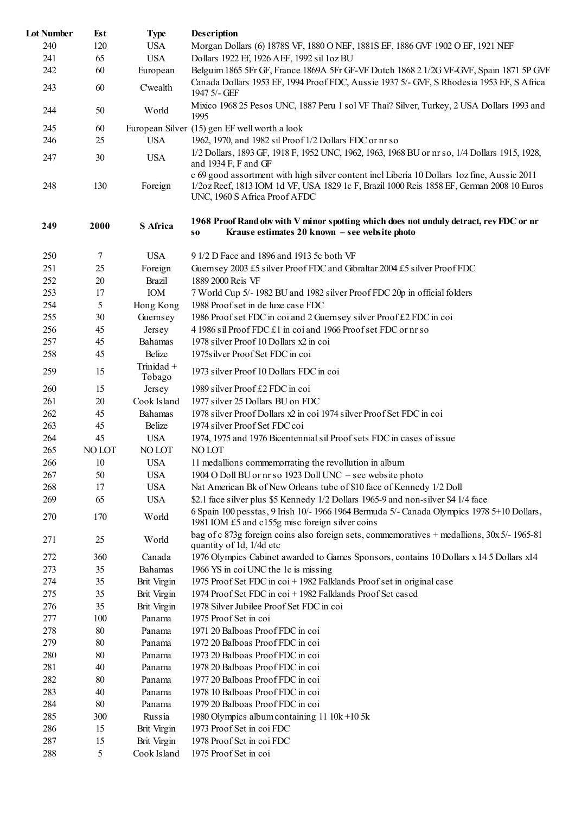| <b>Lot Number</b> | Est    | <b>Type</b>          | <b>Description</b>                                                                                                                                                                                                        |
|-------------------|--------|----------------------|---------------------------------------------------------------------------------------------------------------------------------------------------------------------------------------------------------------------------|
| 240               | 120    | <b>USA</b>           | Morgan Dollars (6) 1878S VF, 1880 O NEF, 1881S EF, 1886 GVF 1902 O EF, 1921 NEF                                                                                                                                           |
| 241               | 65     | <b>USA</b>           | Dollars 1922 Ef, 1926 AEF, 1992 sil 1oz BU                                                                                                                                                                                |
| 242               | 60     | European             | Belguim 1865 5Fr GF, France 1869A 5Fr GF-VF Dutch 1868 2 1/2G VF-GVF, Spain 1871 5P GVF                                                                                                                                   |
| 243               | 60     | Cwealth              | Canada Dollars 1953 EF, 1994 Proof FDC, Aussie 1937 5/- GVF, S Rhodesia 1953 EF, S Africa<br>1947 5/- GEF                                                                                                                 |
| 244               | 50     | World                | Mixico 1968 25 Pesos UNC, 1887 Peru 1 sol VF Thai? Silver, Turkey, 2 USA Dollars 1993 and<br>1995                                                                                                                         |
| 245               | 60     |                      | European Silver (15) gen EF well worth a look                                                                                                                                                                             |
| 246               | 25     | <b>USA</b>           | 1962, 1970, and 1982 sil Proof 1/2 Dollars FDC or nr so                                                                                                                                                                   |
| 247               | 30     | <b>USA</b>           | 1/2 Dollars, 1893 GF, 1918 F, 1952 UNC, 1962, 1963, 1968 BU or nr so, 1/4 Dollars 1915, 1928,<br>and 1934 F, F and GF                                                                                                     |
| 248               | 130    | Foreign              | c 69 good assortment with high silver content incl Liberia 10 Dollars loz fine, Aussie 2011<br>1/2oz Reef, 1813 IOM 1d VF, USA 1829 1c F, Brazil 1000 Reis 1858 EF, German 2008 10 Euros<br>UNC, 1960 S Africa Proof AFDC |
| 249               | 2000   | S Africa             | 1968 Proof Rand obv with V minor spotting which does not unduly detract, rev FDC or nr<br>Krause estimates 20 known - see website photo<br><b>SO</b>                                                                      |
| 250               | 7      | <b>USA</b>           | 9 1/2 D Face and 1896 and 1913 5c both VF                                                                                                                                                                                 |
| 251               | 25     | Foreign              | Guernsey 2003 £5 silver Proof FDC and Gibraltar 2004 £5 silver Proof FDC                                                                                                                                                  |
| 252               | 20     | <b>Brazil</b>        | 1889 2000 Reis VF                                                                                                                                                                                                         |
| 253               | 17     | IOM                  | 7 World Cup 5/- 1982 BU and 1982 silver Proof FDC 20p in official folders                                                                                                                                                 |
| 254               | 5      | Hong Kong            | 1988 Proof set in de luxe case FDC                                                                                                                                                                                        |
| 255               | 30     | Guernsey             | 1986 Proof set FDC in coi and 2 Guernsey silver Proof £2 FDC in coi                                                                                                                                                       |
| 256               | 45     | Jersey               | 4 1986 sil Proof FDC £1 in coi and 1966 Proof set FDC or nr so                                                                                                                                                            |
| 257               | 45     | Bahamas              | 1978 silver Proof 10 Dollars x2 in coi                                                                                                                                                                                    |
| 258               | 45     | Belize               | 1975s ilver Proof Set FDC in coi                                                                                                                                                                                          |
| 259               | 15     | Trinidad +<br>Tobago | 1973 silver Proof 10 Dollars FDC in coi                                                                                                                                                                                   |
| 260               | 15     | Jersey               | 1989 silver Proof £2 FDC in coi                                                                                                                                                                                           |
| 261               | 20     | Cook Island          | 1977 silver 25 Dollars BU on FDC                                                                                                                                                                                          |
| 262               | 45     | Bahamas              | 1978 silver Proof Dollars x2 in coi 1974 silver Proof Set FDC in coi                                                                                                                                                      |
| 263               | 45     | Belize               | 1974 silver Proof Set FDC coi                                                                                                                                                                                             |
| 264               | 45     | <b>USA</b>           | 1974, 1975 and 1976 Bicentennial sil Proof sets FDC in cases of issue                                                                                                                                                     |
| 265               | NO LOT | NO LOT               | NO LOT                                                                                                                                                                                                                    |
| 266               | 10     | <b>USA</b>           | 11 medallions commemorrating the revollution in album                                                                                                                                                                     |
| 267               | 50     | <b>USA</b>           | 1904 O Doll BU or nr so 1923 Doll UNC - see website photo                                                                                                                                                                 |
| 268               | 17     | <b>USA</b>           | Nat American Bk of New Orleans tube of \$10 face of Kennedy 1/2 Doll                                                                                                                                                      |
| 269               | 65     | <b>USA</b>           | \$2.1 face silver plus \$5 Kennedy 1/2 Dollars 1965-9 and non-silver \$4 1/4 face                                                                                                                                         |
| 270               | 170    | World                | 6 Spain 100 pesstas, 9 Irish 10/- 1966 1964 Bermuda 5/- Canada Olympics 1978 5+10 Dollars,<br>1981 IOM £5 and c155g misc foreign silver coins                                                                             |
| 271               | 25     | World                | bag of c 873g foreign coins also foreign sets, commemoratives + medallions, 30x 5/-1965-81<br>quantity of 1d, 1/4d etc                                                                                                    |
| 272               | 360    | Canada               | 1976 Olympics Cabinet awarded to Games Sponsors, contains 10 Dollars x 14 5 Dollars x14                                                                                                                                   |
| 273               | 35     | Bahamas              | 1966 YS in coi UNC the 1c is missing                                                                                                                                                                                      |
| 274               | 35     | <b>Brit Virgin</b>   | 1975 Proof Set FDC in coi + 1982 Falklands Proof set in original case                                                                                                                                                     |
| 275               | 35     | Brit Virgin          | 1974 Proof Set FDC in coi + 1982 Falklands Proof Set cased                                                                                                                                                                |
| 276               | 35     | <b>Brit Virgin</b>   | 1978 Silver Jubilee Proof Set FDC in coi                                                                                                                                                                                  |
| 277               | 100    | Panama               | 1975 Proof Set in coi                                                                                                                                                                                                     |
| 278               | 80     | Panama               | 1971 20 Balboas Proof FDC in coi                                                                                                                                                                                          |
| 279               | 80     | Panama               | 1972 20 Balboas Proof FDC in coi                                                                                                                                                                                          |
| 280               | 80     | Panama               | 1973 20 Balboas Proof FDC in coi                                                                                                                                                                                          |
| 281               | 40     | Panama               | 1978 20 Balboas Proof FDC in coi                                                                                                                                                                                          |
| 282               | 80     | Panama               | 1977 20 Balboas Proof FDC in coi                                                                                                                                                                                          |
| 283               | 40     | Panama               | 1978 10 Balboas Proof FDC in coi                                                                                                                                                                                          |
| 284               | 80     | Panama               | 1979 20 Balboas Proof FDC in coi                                                                                                                                                                                          |
| 285               | 300    | Russia               | 1980 Olympics album containing $1110k + 105k$                                                                                                                                                                             |
| 286               | 15     | Brit Virgin          | 1973 Proof Set in coi FDC                                                                                                                                                                                                 |
| 287               | 15     | Brit Virgin          | 1978 Proof Set in coi FDC                                                                                                                                                                                                 |
| 288               | 5      | Cook Island          | 1975 Proof Set in coi                                                                                                                                                                                                     |
|                   |        |                      |                                                                                                                                                                                                                           |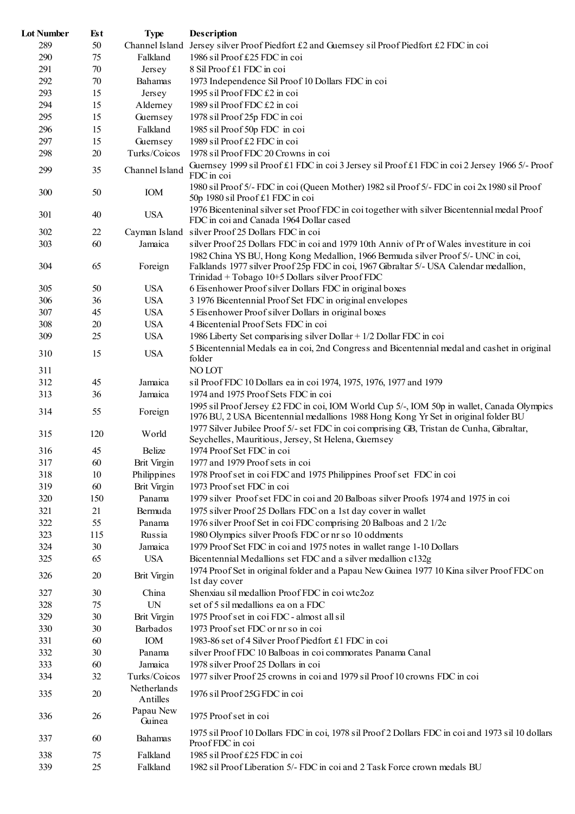| <b>Lot Number</b> | Est | <b>Type</b>             | Description                                                                                                                                                                                                                   |
|-------------------|-----|-------------------------|-------------------------------------------------------------------------------------------------------------------------------------------------------------------------------------------------------------------------------|
| 289               | 50  |                         | Channel Island Jersey silver Proof Piedfort £2 and Guernsey sil Proof Piedfort £2 FDC in coi                                                                                                                                  |
| 290               | 75  | Falkland                | 1986 sil Proof £25 FDC in coi                                                                                                                                                                                                 |
| 291               | 70  | Jersey                  | 8 Sil Proof £1 FDC in coi                                                                                                                                                                                                     |
| 292               | 70  | Bahamas                 | 1973 Independence Sil Proof 10 Dollars FDC in coi                                                                                                                                                                             |
| 293               | 15  | Jersey                  | 1995 sil Proof FDC £2 in coi                                                                                                                                                                                                  |
| 294               | 15  | Alderney                | 1989 sil Proof FDC £2 in coi                                                                                                                                                                                                  |
| 295               | 15  | Guernsey                | 1978 sil Proof 25p FDC in coi                                                                                                                                                                                                 |
| 296               | 15  | Falkland                | 1985 sil Proof 50p FDC in coi                                                                                                                                                                                                 |
| 297               | 15  | Guernsey                | 1989 sil Proof £2 FDC in coi                                                                                                                                                                                                  |
| 298               | 20  | Turks/Coicos            | 1978 sil Proof FDC 20 Crowns in coi                                                                                                                                                                                           |
| 299               | 35  | Channel Island          | Guernsey 1999 sil Proof £1 FDC in coi 3 Jersey sil Proof £1 FDC in coi 2 Jersey 1966 5/- Proof<br>FDC in coi                                                                                                                  |
| 300               | 50  | IOM                     | 1980 sil Proof 5/- FDC in coi (Queen Mother) 1982 sil Proof 5/- FDC in coi 2x 1980 sil Proof<br>50p 1980 sil Proof £1 FDC in coi                                                                                              |
| 301               | 40  | <b>USA</b>              | 1976 Bicenteninal silver set Proof FDC in coi together with silver Bicentennial medal Proof<br>FDC in coi and Canada 1964 Dollar cased                                                                                        |
| 302               | 22  |                         | Cayman Island silver Proof 25 Dollars FDC in coi                                                                                                                                                                              |
| 303               | 60  | Jamaica                 | silver Proof 25 Dollars FDC in coi and 1979 10th Anniv of Pr of Wales investiture in coi                                                                                                                                      |
| 304               | 65  | Foreign                 | 1982 China YS BU, Hong Kong Medallion, 1966 Bermuda silver Proof 5/- UNC in coi,<br>Falklands 1977 silver Proof 25p FDC in coi, 1967 Gibraltar 5/- USA Calendar medallion,<br>Trinidad + Tobago 10+5 Dollars silver Proof FDC |
| 305               | 50  | <b>USA</b>              | 6 Eisenhower Proof silver Dollars FDC in original boxes                                                                                                                                                                       |
| 306               | 36  | <b>USA</b>              | 3 1976 Bicentennial Proof Set FDC in original envelopes                                                                                                                                                                       |
| 307               | 45  | <b>USA</b>              | 5 Eisenhower Proof silver Dollars in original boxes                                                                                                                                                                           |
| 308               | 20  | <b>USA</b>              | 4 Bicentenial Proof Sets FDC in coi                                                                                                                                                                                           |
| 309               | 25  | <b>USA</b>              | 1986 Liberty Set comparising silver Dollar + 1/2 Dollar FDC in coi                                                                                                                                                            |
|                   |     |                         | 5 Bicentennial Medals ea in coi, 2nd Congress and Bicentennial medal and cashet in original                                                                                                                                   |
| 310<br>311        | 15  | <b>USA</b>              | folder<br>NO LOT                                                                                                                                                                                                              |
| 312               | 45  | Jamaica                 | sil Proof FDC 10 Dollars ea in coi 1974, 1975, 1976, 1977 and 1979                                                                                                                                                            |
| 313               | 36  | Jamaica                 | 1974 and 1975 Proof Sets FDC in coi                                                                                                                                                                                           |
|                   |     |                         |                                                                                                                                                                                                                               |
| 314               | 55  | Foreign                 | 1995 sil Proof Jersey £2 FDC in coi, IOM World Cup 5/-, IOM 50p in wallet, Canada Olympics<br>1976 BU, 2 USA Bicentennial medallions 1988 Hong Kong Yr Set in original folder BU                                              |
| 315               | 120 | World                   | 1977 Silver Jubilee Proof 5/- set FDC in coi comprising GB, Tristan de Cunha, Gibraltar,<br>Seychelles, Mauritious, Jersey, St Helena, Guernsey                                                                               |
| 316               | 45  | Belize                  | 1974 Proof Set FDC in coi                                                                                                                                                                                                     |
| 317               | 60  | <b>Brit Virgin</b>      | 1977 and 1979 Proof sets in coi                                                                                                                                                                                               |
| 318               | 10  | Philippines             | 1978 Proof set in coi FDC and 1975 Philippines Proof set FDC in coi                                                                                                                                                           |
| 319               | 60  | <b>Brit Virgin</b>      | 1973 Proof set FDC in coi                                                                                                                                                                                                     |
| 320               | 150 | Panama                  | 1979 silver Proof set FDC in coi and 20 Balboas silver Proofs 1974 and 1975 in coi                                                                                                                                            |
| 321               | 21  | Bermuda                 | 1975 silver Proof 25 Dollars FDC on a 1st day cover in wallet                                                                                                                                                                 |
| 322               | 55  | Panama                  | 1976 silver Proof Set in coi FDC comprising 20 Balboas and 2 1/2c                                                                                                                                                             |
| 323               | 115 | Russia                  | 1980 Olympics silver Proofs FDC or nr so 10 oddments                                                                                                                                                                          |
| 324               | 30  | Jamaica                 | 1979 Proof Set FDC in coi and 1975 notes in wallet range 1-10 Dollars                                                                                                                                                         |
| 325               | 65  | <b>USA</b>              | Bicentennial Medallions set FDC and a silver medallion c132g                                                                                                                                                                  |
| 326               | 20  | <b>Brit Virgin</b>      | 1974 Proof Set in original folder and a Papau New Guinea 1977 10 Kina silver Proof FDC on<br>1st day cover                                                                                                                    |
| 327               | 30  | China                   | Shenxiau sil medallion Proof FDC in coi wtc2oz                                                                                                                                                                                |
| 328               | 75  | UN                      | set of 5 sil medallions ea on a FDC                                                                                                                                                                                           |
| 329               | 30  | <b>Brit Virgin</b>      | 1975 Proof set in coi FDC - almost all sil                                                                                                                                                                                    |
| 330               | 30  | Barbados                | 1973 Proof set FDC or nr so in coi                                                                                                                                                                                            |
| 331               | 60  | IOM                     | 1983-86 set of 4 Silver Proof Piedfort £1 FDC in coi                                                                                                                                                                          |
| 332               | 30  | Panama                  | silver Proof FDC 10 Balboas in coi commorates Panama Canal                                                                                                                                                                    |
| 333               | 60  | Jamaica                 | 1978 silver Proof 25 Dollars in coi                                                                                                                                                                                           |
| 334               | 32  | Turks/Coicos            | 1977 silver Proof 25 crowns in coi and 1979 sil Proof 10 crowns FDC in coi                                                                                                                                                    |
| 335               | 20  | Netherlands<br>Antilles | 1976 sil Proof 25G FDC in coi                                                                                                                                                                                                 |
| 336               | 26  | Papau New<br>Guinea     | 1975 Proof set in coi                                                                                                                                                                                                         |
| 337               | 60  | Bahamas                 | 1975 sil Proof 10 Dollars FDC in coi, 1978 sil Proof 2 Dollars FDC in coi and 1973 sil 10 dollars<br>Proof FDC in coi                                                                                                         |
| 338               | 75  | Falkland                | 1985 sil Proof £25 FDC in coi                                                                                                                                                                                                 |
| 339               | 25  | Falkland                | 1982 sil Proof Liberation 5/- FDC in coi and 2 Task Force crown medals BU                                                                                                                                                     |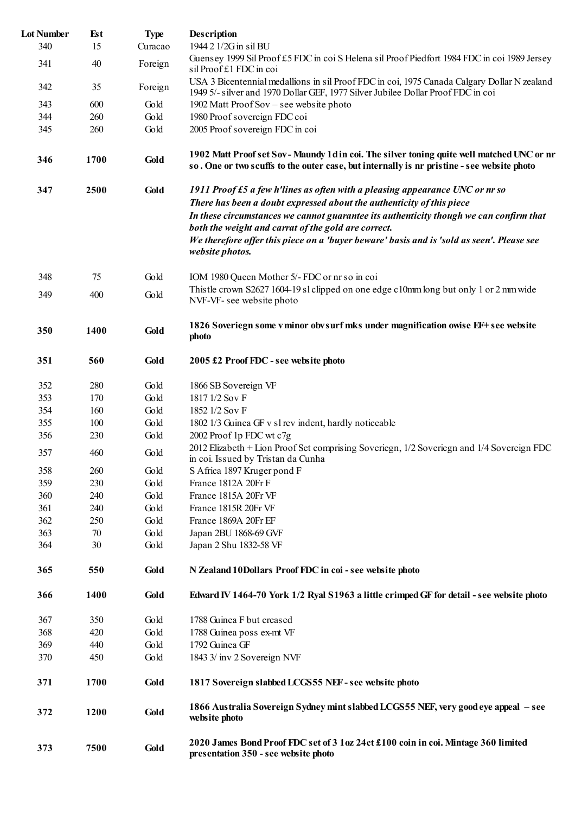| <b>Lot Number</b> | <b>Est</b> | <b>Type</b> | Description                                                                                                                                                                            |
|-------------------|------------|-------------|----------------------------------------------------------------------------------------------------------------------------------------------------------------------------------------|
| 340               | 15         | Curacao     | 1944 2 1/2G in sil BU                                                                                                                                                                  |
| 341               | 40         | Foreign     | Guensey 1999 Sil Proof £5 FDC in coi S Helena sil Proof Piedfort 1984 FDC in coi 1989 Jersey<br>sil Proof £1 FDC in coi                                                                |
| 342               | 35         | Foreign     | USA 3 Bicentennial medallions in sil Proof FDC in coi, 1975 Canada Calgary Dollar N zealand<br>1949 5/- silver and 1970 Dollar GEF, 1977 Silver Jubilee Dollar Proof FDC in coi        |
| 343               | 600        | Gold        | 1902 Matt Proof Sov – see website photo                                                                                                                                                |
| 344               | 260        | Gold        | 1980 Proof sovereign FDC coi                                                                                                                                                           |
| 345               | 260        | Gold        | 2005 Proof sovereign FDC in coi                                                                                                                                                        |
| 346               | 1700       | Gold        | 1902 Matt Proof set Sov-Maundy 1d in coi. The silver toning quite well matched UNC or nr<br>so. One or two scuffs to the outer case, but internally is nr pristine - see website photo |
| 347               | 2500       | Gold        | 1911 Proof £5 a few h'lines as often with a pleasing appearance UNC or nr so<br>There has been a doubt expressed about the authenticity of this piece                                  |
|                   |            |             | In these circumstances we cannot guarantee its authenticity though we can confirm that<br>both the weight and carrat of the gold are correct.                                          |
|                   |            |             | We therefore offer this piece on a 'buyer beware' basis and is 'sold as seen'. Please see<br>website photos.                                                                           |
| 348               | 75         | Gold        | IOM 1980 Queen Mother 5/- FDC or nr so in coi                                                                                                                                          |
| 349               | 400        | Gold        | This tle crown S2627 1604-19 sl clipped on one edge c10mm long but only 1 or 2 mm wide<br>NVF-VF-see website photo                                                                     |
| 350               | 1400       | Gold        | 1826 Soveriegn some v minor obv surf mks under magnification owise EF+ see website<br>photo                                                                                            |
| 351               | 560        | Gold        | 2005 £2 Proof FDC - see website photo                                                                                                                                                  |
| 352               | 280        | Gold        | 1866 SB Sovereign VF                                                                                                                                                                   |
| 353               | 170        | Gold        | 1817 1/2 Sov F                                                                                                                                                                         |
| 354               | 160        | Gold        | 1852 1/2 Sov F                                                                                                                                                                         |
| 355               | 100        | Gold        | 1802 1/3 Guinea GF v sl rev indent, hardly noticeable                                                                                                                                  |
| 356               | 230        | Gold        | 2002 Proof 1p FDC wt c7g                                                                                                                                                               |
| 357               | 460        | Gold        | 2012 Elizabeth + Lion Proof Set comprising Soveriegn, 1/2 Soveriegn and 1/4 Sovereign FDC<br>in coi. Issued by Tristan da Cunha                                                        |
| 358               | 260        | Gold        | S Africa 1897 Kruger pond F                                                                                                                                                            |
| 359               | 230        | Gold        | France 1812A 20Fr F                                                                                                                                                                    |
| 360               | 240        | Gold        | France 1815A 20Fr VF                                                                                                                                                                   |
| 361               | 240        | Gold        | France 1815R 20Fr VF                                                                                                                                                                   |
| 362               | 250        | Gold        | France 1869A 20Fr EF                                                                                                                                                                   |
| 363               | 70         | Gold        | Japan 2BU 1868-69 GVF                                                                                                                                                                  |
| 364               | 30         | Gold        | Japan 2 Shu 1832-58 VF                                                                                                                                                                 |
| 365               | 550        | Gold        | N Zealand 10Dollars Proof FDC in coi-see website photo                                                                                                                                 |
| 366               | 1400       | Gold        | Edward IV 1464-70 York 1/2 Ryal S1963 a little crimped GF for detail - see website photo                                                                                               |
| 367               | 350        | Gold        | 1788 Guinea F but creased                                                                                                                                                              |
| 368               | 420        | Gold        | 1788 Guinea poss ex-mt VF                                                                                                                                                              |
| 369               | 440        | Gold        | 1792 Guinea GF                                                                                                                                                                         |
| 370               | 450        | Gold        | 1843 3/ inv 2 Sovereign NVF                                                                                                                                                            |
| 371               | 1700       | Gold        | 1817 Sovereign slabbed LCGS55 NEF - see website photo                                                                                                                                  |
| 372               | 1200       | Gold        | 1866 Australia Sovereign Sydney mint slabbed LCGS55 NEF, very good eye appeal – see<br>website photo                                                                                   |
| 373               | 7500       | Gold        | 2020 James Bond Proof FDC set of 3 1oz 24ct £100 coin in coi. Mintage 360 limited<br>presentation 350 - see website photo                                                              |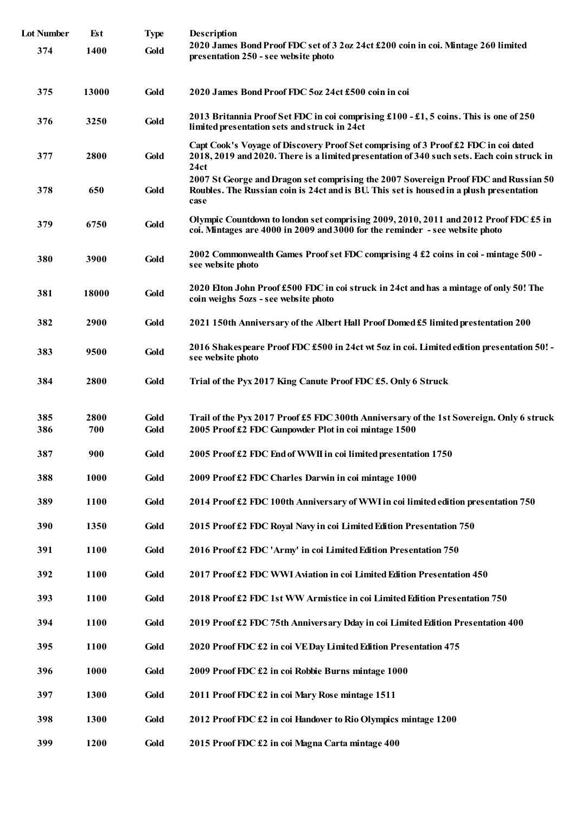| <b>Lot Number</b> | Est   | <b>Type</b> | Description                                                                                                                                                                               |
|-------------------|-------|-------------|-------------------------------------------------------------------------------------------------------------------------------------------------------------------------------------------|
| 374               | 1400  | Gold        | 2020 James Bond Proof FDC set of 3 2oz 24ct £200 coin in coi. Mintage 260 limited<br>presentation 250 - see website photo                                                                 |
| 375               | 13000 | Gold        | 2020 James Bond Proof FDC 5oz 24ct £500 coin in coi                                                                                                                                       |
| 376               | 3250  | Gold        | 2013 Britannia Proof Set FDC in coi comprising £100 - £1, 5 coins. This is one of 250<br>limited presentation sets and struck in 24ct                                                     |
| 377               | 2800  | Gold        | Capt Cook's Voyage of Discovery Proof Set comprising of 3 Proof £2 FDC in coi dated<br>2018, 2019 and 2020. There is a limited presentation of 340 such sets. Each coin struck in<br>24ct |
| 378               | 650   | Gold        | 2007 St George and Dragon set comprising the 2007 Sovereign Proof FDC and Russian 50<br>Roubles. The Russian coin is 24ct and is BU. This set is housed in a plush presentation<br>case   |
| 379               | 6750  | Gold        | Olympic Countdown to london set comprising 2009, 2010, 2011 and 2012 Proof FDC £5 in<br>coi. Mintages are 4000 in 2009 and 3000 for the reminder - see website photo                      |
| 380               | 3900  | Gold        | 2002 Commonwealth Games Proof set FDC comprising 4 £2 coins in coi-mintage 500 -<br>see website photo                                                                                     |
| 381               | 18000 | Gold        | 2020 Elton John Proof £500 FDC in coi struck in 24ct and has a mintage of only 50! The<br>coin weighs 5ozs - see website photo                                                            |
| 382               | 2900  | Gold        | 2021 150th Anniversary of the Albert Hall Proof Domed £5 limited prestentation 200                                                                                                        |
| 383               | 9500  | Gold        | 2016 Shakespeare Proof FDC £500 in 24ct wt 5oz in coi. Limited edition presentation 50! -<br>see website photo                                                                            |
| 384               | 2800  | Gold        | Trial of the Pyx 2017 King Canute Proof FDC £5. Only 6 Struck                                                                                                                             |
| 385               | 2800  | Gold        | Trail of the Pyx 2017 Proof £5 FDC 300th Anniversary of the 1st Sovereign. Only 6 struck                                                                                                  |
| 386               | 700   | Gold        | 2005 Proof £2 FDC Gunpowder Plot in coi mintage 1500                                                                                                                                      |
| 387               | 900   | Gold        | 2005 Proof £2 FDC End of WWII in coi limited presentation 1750                                                                                                                            |
| 388               | 1000  | Gold        | 2009 Proof £2 FDC Charles Darwin in coi mintage 1000                                                                                                                                      |
| 389               | 1100  | Gold        | 2014 Proof £2 FDC 100th Anniversary of WWI in coi limited edition presentation 750                                                                                                        |
| 390               | 1350  | Gold        | 2015 Proof £2 FDC Royal Navy in coi Limited Edition Presentation 750                                                                                                                      |
| 391               | 1100  | Gold        | 2016 Proof £2 FDC 'Army' in coi Limited Edition Presentation 750                                                                                                                          |
| 392               | 1100  | Gold        | 2017 Proof £2 FDC WWI Aviation in coi Limited Edition Presentation 450                                                                                                                    |
| 393               | 1100  | Gold        | 2018 Proof £2 FDC 1st WW Armistice in coi Limited Edition Presentation 750                                                                                                                |
| 394               | 1100  | Gold        | 2019 Proof £2 FDC 75th Anniversary Dday in coi Limited Edition Presentation 400                                                                                                           |
| 395               | 1100  | Gold        | 2020 Proof FDC £2 in coi VE Day Limited Edition Presentation 475                                                                                                                          |
| 396               | 1000  | Gold        | 2009 Proof FDC £2 in coi Robbie Burns mintage 1000                                                                                                                                        |
| 397               | 1300  | Gold        | 2011 Proof FDC £2 in coi Mary Rose mintage 1511                                                                                                                                           |
| 398               | 1300  | Gold        | 2012 Proof FDC £2 in coi Handover to Rio Olympics mintage 1200                                                                                                                            |
| 399               | 1200  | Gold        | 2015 Proof FDC £2 in coi Magna Carta mintage 400                                                                                                                                          |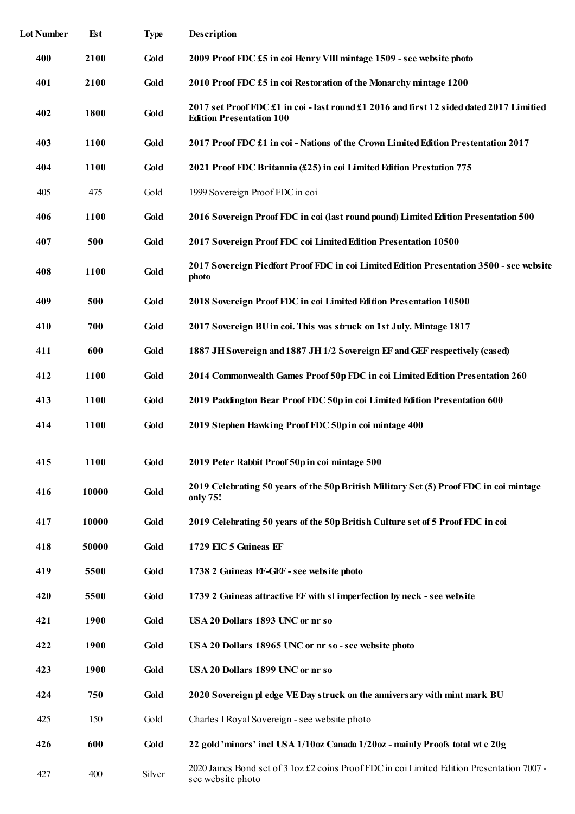| <b>Lot Number</b> | <b>Est</b>  | <b>Type</b> | Description                                                                                                                 |
|-------------------|-------------|-------------|-----------------------------------------------------------------------------------------------------------------------------|
| 400               | 2100        | Gold        | 2009 Proof FDC £5 in coi Henry VIII mintage 1509 - see website photo                                                        |
| 401               | 2100        | Gold        | 2010 Proof FDC £5 in coi Restoration of the Monarchy mintage 1200                                                           |
| 402               | 1800        | Gold        | 2017 set Proof FDC £1 in coi - last round £1 2016 and first 12 sided dated 2017 Limitied<br><b>Edition Presentation 100</b> |
| 403               | <b>1100</b> | Gold        | 2017 Proof FDC £1 in coi - Nations of the Crown Limited Edition Prestentation 2017                                          |
| 404               | 1100        | Gold        | 2021 Proof FDC Britannia (£25) in coi Limited Edition Prestation 775                                                        |
| 405               | 475         | Gold        | 1999 Sovereign Proof FDC in coi                                                                                             |
| 406               | 1100        | Gold        | 2016 Sovereign Proof FDC in coi (last round pound) Limited Edition Presentation 500                                         |
| 407               | 500         | Gold        | 2017 Sovereign Proof FDC coi Limited Edition Presentation 10500                                                             |
| 408               | 1100        | Gold        | 2017 Sovereign Piedfort Proof FDC in coi Limited Edition Presentation 3500 - see website<br>photo                           |
| 409               | 500         | Gold        | 2018 Sovereign Proof FDC in coi Limited Edition Presentation 10500                                                          |
| 410               | 700         | Gold        | 2017 Sovereign BU in coi. This was struck on 1st July. Mintage 1817                                                         |
| 411               | 600         | Gold        | 1887 JH Sovereign and 1887 JH 1/2 Sovereign EF and GEF respectively (cased)                                                 |
| 412               | 1100        | Gold        | 2014 Commonwealth Games Proof 50p FDC in coi Limited Edition Presentation 260                                               |
| 413               | 1100        | Gold        | 2019 Paddington Bear Proof FDC 50p in coi Limited Edition Presentation 600                                                  |
| 414               | 1100        | Gold        | 2019 Stephen Hawking Proof FDC 50p in coi mintage 400                                                                       |
| 415               | <b>1100</b> | Gold        | 2019 Peter Rabbit Proof 50p in coi mintage 500                                                                              |
| 416               | 10000       | Gold        | 2019 Celebrating 50 years of the 50p British Military Set (5) Proof FDC in coi mintage<br>only 75!                          |
| 417               | 10000       | Gold        | 2019 Celebrating 50 years of the 50p British Culture set of 5 Proof FDC in coi                                              |
| 418               | 50000       | Gold        | 1729 EIC 5 Guineas EF                                                                                                       |
| 419               | 5500        | Gold        | 1738 2 Guineas EF-GEF - see website photo                                                                                   |
| 420               | 5500        | Gold        | 1739 2 Guineas attractive EF with sl imperfection by neck - see website                                                     |
| 421               | 1900        | Gold        | USA 20 Dollars 1893 UNC or nr so                                                                                            |
| 422               | 1900        | Gold        | USA 20 Dollars 18965 UNC or nr so - see website photo                                                                       |
| 423               | 1900        | Gold        | USA 20 Dollars 1899 UNC or nr so                                                                                            |
| 424               | 750         | Gold        | 2020 Sovereign pl edge VEDay struck on the anniversary with mint mark BU                                                    |
| 425               | 150         | Gold        | Charles I Royal Sovereign - see website photo                                                                               |
| 426               | 600         | Gold        | 22 gold 'minors' incl USA 1/10oz Canada 1/20oz - mainly Proofs total wt c 20g                                               |
| 427               | 400         | Silver      | 2020 James Bond set of 3 loz £2 coins Proof FDC in coi Limited Edition Presentation 7007 -<br>see website photo             |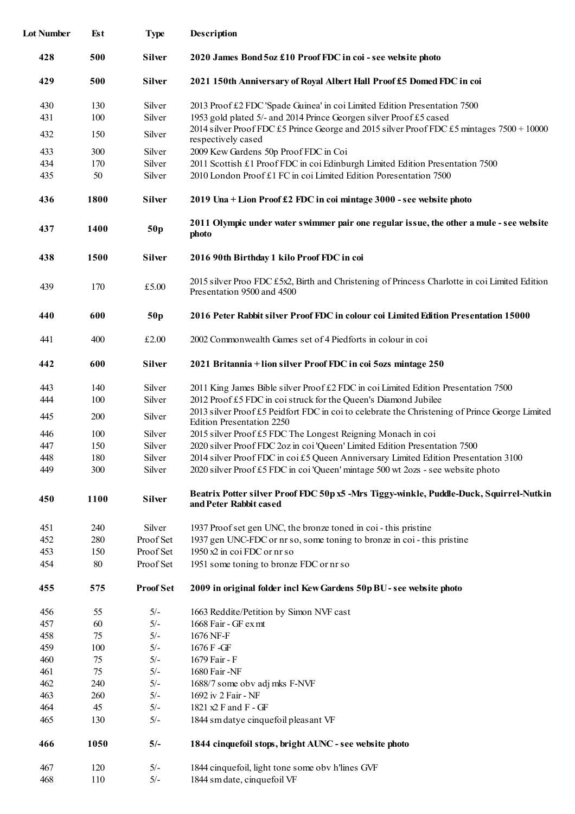| <b>Lot Number</b> | Est         | <b>Type</b>      | Description                                                                                                                               |
|-------------------|-------------|------------------|-------------------------------------------------------------------------------------------------------------------------------------------|
| 428               | 500         | <b>Silver</b>    | 2020 James Bond 5oz £10 Proof FDC in coi - see website photo                                                                              |
| 429               | 500         | <b>Silver</b>    | 2021 150th Anniversary of Royal Albert Hall Proof £5 Domed FDC in coi                                                                     |
| 430               | 130         | Silver           | 2013 Proof £2 FDC 'Spade Guinea' in coi Limited Edition Presentation 7500                                                                 |
| 431               | 100         | Silver           | 1953 gold plated 5/- and 2014 Prince Georgen silver Proof £5 cased                                                                        |
|                   |             |                  | 2014 silver Proof FDC £5 Prince George and 2015 silver Proof FDC £5 mintages 7500 + 10000                                                 |
| 432               | 150         | Silver           | respectively cased                                                                                                                        |
| 433               | 300         | Silver           | 2009 Kew Gardens 50p Proof FDC in Coi                                                                                                     |
| 434               | 170         | Silver           | 2011 Scottish £1 Proof FDC in coi Edinburgh Limited Edition Presentation 7500                                                             |
| 435               | 50          | Silver           | 2010 London Proof £1 FC in coi Limited Edition Poresentation 7500                                                                         |
| 436               | <b>1800</b> | <b>Silver</b>    | 2019 Una + Lion Proof £2 FDC in coi mintage 3000 - see website photo                                                                      |
| 437               | <b>1400</b> | 50p              | 2011 Olympic under water swimmer pair one regular issue, the other a mule - see website<br>photo                                          |
| 438               | 1500        | <b>Silver</b>    | 2016 90th Birthday 1 kilo Proof FDC in coi                                                                                                |
| 439               | 170         | £5.00            | 2015 silver Proo FDC £5x2, Birth and Christening of Princess Charlotte in coi Limited Edition<br>Presentation 9500 and 4500               |
| 440               | 600         | 50p              | 2016 Peter Rabbit silver Proof FDC in colour coi Limited Edition Presentation 15000                                                       |
| 441               | 400         | £2.00            | 2002 Commonwealth Games set of 4 Piedforts in colour in coi                                                                               |
| 442               | 600         | Silver           | 2021 Britannia + lion silver Proof FDC in coi 5ozs mintage 250                                                                            |
| 443               | 140         | Silver           | 2011 King James Bible silver Proof £2 FDC in coi Limited Edition Presentation 7500                                                        |
| 444               | 100         | Silver           | 2012 Proof £5 FDC in coi struck for the Queen's Diamond Jubilee                                                                           |
| 445               | 200         | Silver           | 2013 silver Proof £5 Peidfort FDC in coi to celebrate the Christening of Prince George Limited                                            |
|                   |             |                  | Edition Presentation 2250                                                                                                                 |
| 446               | 100         | Silver<br>Silver | 2015 silver Proof £5 FDC The Longest Reigning Monach in coi<br>2020 silver Proof FDC 2oz in coi 'Queen' Limited Edition Presentation 7500 |
| 447<br>448        | 150<br>180  | Silver           | 2014 silver Proof FDC in coi £5 Queen Anniversary Limited Edition Presentation 3100                                                       |
| 449               | 300         | Silver           | 2020 silver Proof £5 FDC in coi 'Queen' mintage 500 wt 2ozs - see website photo                                                           |
| 450               | 1100        | Silver           | Beatrix Potter silver Proof FDC 50p x5 -Mrs Tiggy-winkle, Puddle-Duck, Squirrel-Nutkin<br>and Peter Rabbit cased                          |
| 451               | 240         | Silver           | 1937 Proof set gen UNC, the bronze toned in coi-this pristine                                                                             |
| 452               | 280         | Proof Set        | 1937 gen UNC-FDC or nr so, some toning to bronze in coi-this pristine                                                                     |
| 453               | 150         | Proof Set        | 1950 x2 in coi FDC or nr so                                                                                                               |
| 454               | 80          | Proof Set        | 1951 some toning to bronze FDC or nr so                                                                                                   |
| 455               | 575         | <b>Proof Set</b> | 2009 in original folder incl Kew Gardens 50p BU - see website photo                                                                       |
| 456               | 55          | $5/-$            | 1663 Reddite/Petition by Simon NVF cast                                                                                                   |
| 457               | 60          | $5/-$            | 1668 Fair - GF exmt                                                                                                                       |
| 458               | 75          | $5/-$            | 1676 NF-F                                                                                                                                 |
| 459               | 100         | $5/-$            | 1676 F - GF                                                                                                                               |
| 460               | 75          | $5/-$            | 1679 Fair - F                                                                                                                             |
| 461               | 75          | $5/-$            | 1680 Fair -NF                                                                                                                             |
| 462               | 240         | $5/-$            | 1688/7 some obv adj mks F-NVF                                                                                                             |
| 463               | 260         | $5/-$            | 1692 iv 2 Fair - NF                                                                                                                       |
| 464               | 45          | $5/-$            | 1821 x2 F and F - GF                                                                                                                      |
| 465               | 130         | $5/-$            | 1844 sm datye cinquefoil pleasant VF                                                                                                      |
| 466               | 1050        | $5/-$            | 1844 cinquefoil stops, bright AUNC - see website photo                                                                                    |
| 467               | 120         | $5/-$            | 1844 cinquefoil, light tone some obv h'lines GVF                                                                                          |
| 468               | 110         | $5/-$            | 1844 sm date, cinquefoil VF                                                                                                               |
|                   |             |                  |                                                                                                                                           |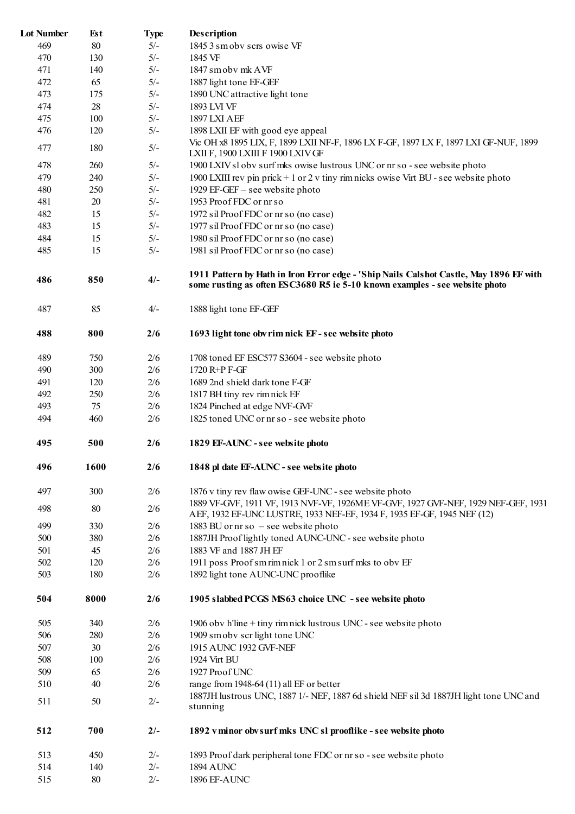| <b>Lot Number</b> | <b>Est</b> | <b>Type</b> | Description                                                                                                                                                           |
|-------------------|------------|-------------|-----------------------------------------------------------------------------------------------------------------------------------------------------------------------|
| 469               | 80         | $5/-$       | 1845 3 sm obv scrs owise VF                                                                                                                                           |
| 470               | 130        | $5/-$       | 1845 VF                                                                                                                                                               |
| 471               | 140        | $5/-$       | 1847 sm obv mk AVF                                                                                                                                                    |
| 472               | 65         | $5/-$       | 1887 light tone EF-GEF                                                                                                                                                |
| 473               | 175        | $5/-$       | 1890 UNC attractive light tone                                                                                                                                        |
| 474               | 28         | $5/-$       | 1893 LVI VF                                                                                                                                                           |
| 475               | 100        | $5/-$       | 1897 LXI AEF                                                                                                                                                          |
| 476               | 120        | $5/-$       | 1898 LXII EF with good eye appeal                                                                                                                                     |
|                   |            |             | Vic OH x8 1895 LIX, F, 1899 LXII NF-F, 1896 LX F-GF, 1897 LX F, 1897 LXI GF-NUF, 1899                                                                                 |
| 477               | 180        | $5/-$       | LXII F, 1900 LXIII F 1900 LXIV GF                                                                                                                                     |
| 478               | 260        | $5/-$       | 1900 LXIV sl obv surf mks owise lustrous UNC or nr so - see website photo                                                                                             |
| 479               | 240        | $5/-$       | 1900 LXIII rev pin prick + 1 or 2 v tiny rimnicks owise Virt BU - see website photo                                                                                   |
| 480               | 250        | $5/-$       | 1929 EF-GEF - see website photo                                                                                                                                       |
| 481               | 20         | $5/-$       | 1953 Proof FDC or nr so                                                                                                                                               |
| 482               | 15         | $5/-$       | 1972 sil Proof FDC or nr so (no case)                                                                                                                                 |
| 483               | 15         | $5/-$       | 1977 sil Proof FDC or nr so (no case)                                                                                                                                 |
| 484               | 15         | $5/-$       | 1980 sil Proof FDC or nr so (no case)                                                                                                                                 |
| 485               | 15         | $5/-$       | 1981 sil Proof FDC or nr so (no case)                                                                                                                                 |
|                   |            |             |                                                                                                                                                                       |
| 486               | 850        | $4/-$       | 1911 Pattern by Hath in Iron Error edge - 'Ship Nails Calshot Castle, May 1896 EF with<br>some rusting as often ESC3680 R5 ie 5-10 known examples - see website photo |
| 487               | 85         | $4/-$       | 1888 light tone EF-GEF                                                                                                                                                |
| 488               | 800        | 2/6         | 1693 light tone obv rim nick EF - see website photo                                                                                                                   |
| 489               | 750        | 2/6         | 1708 toned EF ESC577 S3604 - see website photo                                                                                                                        |
| 490               | 300        | 2/6         | 1720 R+P F-GF                                                                                                                                                         |
| 491               | 120        | 2/6         | 1689 2nd shield dark tone F-GF                                                                                                                                        |
| 492               | 250        | 2/6         | 1817 BH tiny rev rim nick EF                                                                                                                                          |
| 493               | 75         | 2/6         | 1824 Pinched at edge NVF-GVF                                                                                                                                          |
| 494               | 460        | 2/6         | 1825 toned UNC or nr so - see website photo                                                                                                                           |
|                   |            |             |                                                                                                                                                                       |
| 495               | 500        | 2/6         | 1829 EF-AUNC - see website photo                                                                                                                                      |
| 496               | 1600       | 2/6         | 1848 pl date EF-AUNC - see website photo                                                                                                                              |
| 497               | 300        | 2/6         | 1876 v tiny rev flaw owise GEF-UNC - see website photo                                                                                                                |
| 498               | 80         | 2/6         | 1889 VF-GVF, 1911 VF, 1913 NVF-VF, 1926ME VF-GVF, 1927 GVF-NEF, 1929 NEF-GEF, 1931                                                                                    |
|                   |            |             | AEF, 1932 EF-UNC LUSTRE, 1933 NEF-EF, 1934 F, 1935 EF-GF, 1945 NEF (12)                                                                                               |
| 499               | 330        | 2/6         | 1883 BU or $n r s o$ – see website photo                                                                                                                              |
| 500               | 380        | 2/6         | 1887JH Proof lightly toned AUNC-UNC - see website photo                                                                                                               |
| 501               | 45         | 2/6         | 1883 VF and 1887 JH EF                                                                                                                                                |
| 502               | 120        | 2/6         | 1911 poss Proof smrimnick 1 or 2 sm surf mks to obv EF                                                                                                                |
| 503               | 180        | 2/6         | 1892 light tone AUNC-UNC prooflike                                                                                                                                    |
| 504               | 8000       | 2/6         | 1905 slabbed PCGS MS63 choice UNC - see website photo                                                                                                                 |
| 505               | 340        | 2/6         | 1906 obv h'line + tiny rim nick lustrous UNC - see website photo                                                                                                      |
| 506               | 280        | 2/6         | 1909 sm obv scr light tone UNC                                                                                                                                        |
| 507               | 30         | 2/6         | 1915 AUNC 1932 GVF-NEF                                                                                                                                                |
| 508               | 100        | 2/6         | 1924 Virt BU                                                                                                                                                          |
| 509               | 65         | 2/6         | 1927 Proof UNC                                                                                                                                                        |
| 510               | 40         | 2/6         | range from 1948-64 $(11)$ all EF or better                                                                                                                            |
|                   |            |             | 1887JH lustrous UNC, 1887 1/- NEF, 1887 6d shield NEF sil 3d 1887JH light tone UNC and                                                                                |
| 511               | 50         | $2/-$       | stunning                                                                                                                                                              |
| 512               | 700        | $2/-$       | 1892 v minor obv surf mks UNC sl prooflike - see website photo                                                                                                        |
| 513               | 450        | $2/-$       | 1893 Proof dark peripheral tone FDC or nr so - see website photo                                                                                                      |
| 514               | 140        | $2/-$       | <b>1894 AUNC</b>                                                                                                                                                      |
| 515               | $80\,$     | $2/-$       | 1896 EF-AUNC                                                                                                                                                          |
|                   |            |             |                                                                                                                                                                       |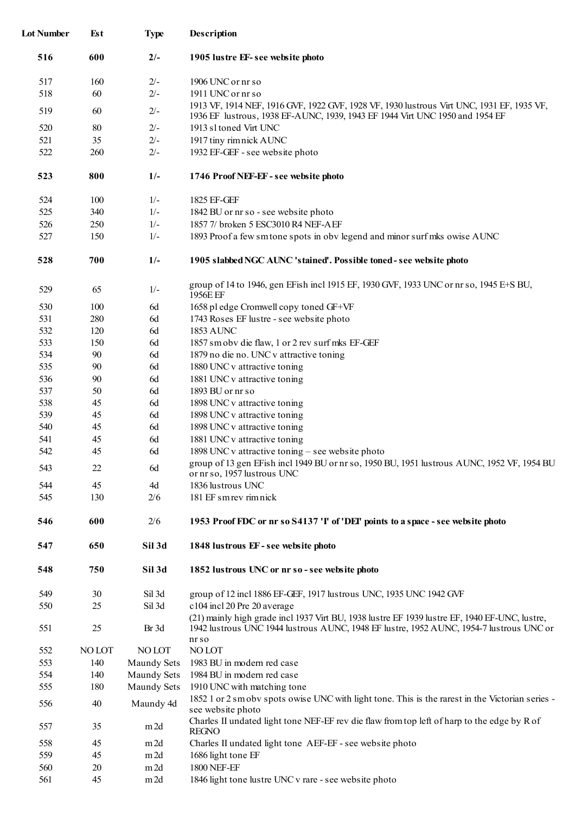| <b>Lot Number</b> | Est    | <b>Type</b>        | Description                                                                                                                                                                                       |
|-------------------|--------|--------------------|---------------------------------------------------------------------------------------------------------------------------------------------------------------------------------------------------|
| 516               | 600    | $2/-$              | 1905 lustre EF-see website photo                                                                                                                                                                  |
| 517               | 160    | $2/-$              | 1906 UNC or nr so                                                                                                                                                                                 |
| 518               | 60     | $2/-$              | 1911 UNC or nr so                                                                                                                                                                                 |
| 519               | 60     | $2/-$              | 1913 VF, 1914 NEF, 1916 GVF, 1922 GVF, 1928 VF, 1930 lustrous Virt UNC, 1931 EF, 1935 VF,                                                                                                         |
|                   |        |                    | 1936 EF lustrous, 1938 EF-AUNC, 1939, 1943 EF 1944 Virt UNC 1950 and 1954 EF                                                                                                                      |
| 520               | 80     | $2/-$              | 1913 sl toned Virt UNC                                                                                                                                                                            |
| 521               | 35     | $2/-$              | 1917 tiny rimnick AUNC                                                                                                                                                                            |
| 522               | 260    | $2/-$              | 1932 EF-GEF - see website photo                                                                                                                                                                   |
| 523               | 800    | $1/-$              | 1746 Proof NEF-EF - see website photo                                                                                                                                                             |
| 524               | 100    | $1/-$              | 1825 EF-GEF                                                                                                                                                                                       |
| 525               | 340    | $1/-$              | 1842 BU or nr so - see website photo                                                                                                                                                              |
| 526               | 250    | $1/-$              | 1857 7/ broken 5 ESC3010 R4 NEF-AEF                                                                                                                                                               |
| 527               | 150    | $1/-$              | 1893 Proof a few sm tone spots in obv legend and minor surf mks owise AUNC                                                                                                                        |
| 528               | 700    | $1/-$              | 1905 slabbed NGC AUNC 'stained'. Possible toned - see website photo                                                                                                                               |
| 529               | 65     | $1/-$              | group of 14 to 1946, gen EFish incl 1915 EF, 1930 GVF, 1933 UNC or nr so, 1945 E+S BU,<br>1956E EF                                                                                                |
| 530               | 100    | 6d                 | 1658 pl edge Cromwell copy toned GF+VF                                                                                                                                                            |
| 531               | 280    | 6d                 | 1743 Roses EF lustre - see website photo                                                                                                                                                          |
| 532               | 120    | 6d                 | <b>1853 AUNC</b>                                                                                                                                                                                  |
| 533               | 150    | 6d                 | 1857 sm obv die flaw, 1 or 2 rev surf mks EF-GEF                                                                                                                                                  |
| 534               | 90     | 6d                 | 1879 no die no. UNC v attractive toning                                                                                                                                                           |
| 535               | 90     | 6d                 | 1880 UNC v attractive toning                                                                                                                                                                      |
| 536               | 90     | 6d                 | 1881 UNC v attractive toning                                                                                                                                                                      |
| 537               | 50     | 6d                 | 1893 BU or nr so                                                                                                                                                                                  |
| 538               | 45     | 6d                 | 1898 UNC v attractive toning                                                                                                                                                                      |
| 539               | 45     | 6d                 | 1898 UNC v attractive toning                                                                                                                                                                      |
| 540               | 45     | 6d                 | 1898 UNC v attractive toning                                                                                                                                                                      |
| 541               | 45     | 6d                 | 1881 UNC v attractive toning                                                                                                                                                                      |
| 542               | 45     | 6d                 | 1898 UNC v attractive toning – see website photo                                                                                                                                                  |
|                   |        |                    | group of 13 gen EFish incl 1949 BU or nr so, 1950 BU, 1951 lustrous AUNC, 1952 VF, 1954 BU                                                                                                        |
| 543               | 22     | 6d                 | or nr so, 1957 lustrous UNC                                                                                                                                                                       |
| 544               | 45     | 4d                 | 1836 lustrous UNC                                                                                                                                                                                 |
| 545               | 130    | 2/6                | 181 EF sm rev rim nick                                                                                                                                                                            |
| 546               | 600    | 2/6                | 1953 Proof FDC or nr so S4137 'I' of 'DEI' points to a space - see website photo                                                                                                                  |
| 547               | 650    | Sil 3d             | 1848 lustrous EF-see website photo                                                                                                                                                                |
| 548               | 750    | Sil 3d             | 1852 lustrous UNC or nr so - see website photo                                                                                                                                                    |
| 549               | 30     | Sil 3d             | group of 12 incl 1886 EF-GEF, 1917 lustrous UNC, 1935 UNC 1942 GVF                                                                                                                                |
| 550               | 25     | Sil 3d             | c104 incl 20 Pre 20 average                                                                                                                                                                       |
| 551               | 25     | Br 3d              | (21) mainly high grade incl 1937 Virt BU, 1938 lustre EF 1939 lustre EF, 1940 EF-UNC, lustre,<br>1942 lustrous UNC 1944 lustrous AUNC, 1948 EF lustre, 1952 AUNC, 1954-7 lustrous UNC or<br>nr so |
| 552               | NO LOT | <b>NOLOT</b>       | <b>NOLOT</b>                                                                                                                                                                                      |
| 553               | 140    | <b>Maundy Sets</b> | 1983 BU in modern red case                                                                                                                                                                        |
| 554               | 140    | <b>Maundy Sets</b> | 1984 BU in modern red case                                                                                                                                                                        |
| 555               | 180    | Maundy Sets        | 1910 UNC with matching tone                                                                                                                                                                       |
|                   |        |                    | 1852 1 or 2 sm obv spots owise UNC with light tone. This is the rarest in the Victorian series -                                                                                                  |
| 556               | 40     | Maundy 4d          | see website photo                                                                                                                                                                                 |
| 557               | 35     | m2d                | Charles II undated light tone NEF-EF rev die flaw from top left of harp to the edge by R of<br><b>REGNO</b>                                                                                       |
| 558               | 45     | m2d                | Charles II undated light tone AEF-EF - see website photo                                                                                                                                          |
| 559               | 45     | m2d                | 1686 light tone EF                                                                                                                                                                                |
| 560               | 20     | m2d                | <b>1800 NEF-EF</b>                                                                                                                                                                                |
| 561               | 45     | m2d                | 1846 light tone lustre UNC v rare - see website photo                                                                                                                                             |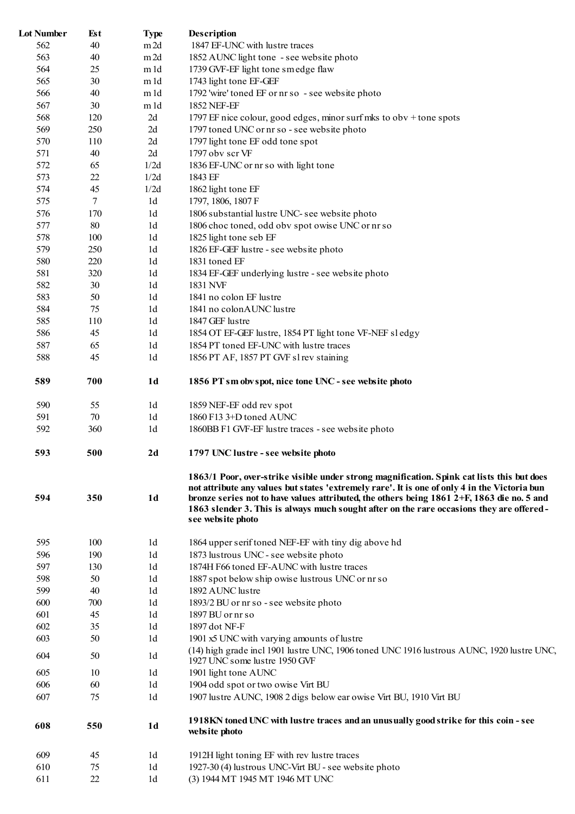| <b>Lot Number</b> | Est      | <b>Type</b>                      | <b>Description</b>                                                                                                                                                                                                                                                                                                                                                                                             |
|-------------------|----------|----------------------------------|----------------------------------------------------------------------------------------------------------------------------------------------------------------------------------------------------------------------------------------------------------------------------------------------------------------------------------------------------------------------------------------------------------------|
| 562               | 40       | m2d                              | 1847 EF-UNC with lustre traces                                                                                                                                                                                                                                                                                                                                                                                 |
| 563               | 40       | m2d                              | 1852 AUNC light tone - see website photo                                                                                                                                                                                                                                                                                                                                                                       |
| 564               | 25       | m 1d                             | 1739 GVF-EF light tone smedge flaw                                                                                                                                                                                                                                                                                                                                                                             |
| 565               | 30       | m 1d                             | 1743 light tone EF-GEF                                                                                                                                                                                                                                                                                                                                                                                         |
| 566               | 40       | m 1d                             | 1792 'wire' toned EF or nr so - see website photo                                                                                                                                                                                                                                                                                                                                                              |
| 567               | 30       | m 1d                             | 1852 NEF-EF                                                                                                                                                                                                                                                                                                                                                                                                    |
| 568               | 120      | 2d                               | 1797 EF nice colour, good edges, minor surf mks to obv + tone spots                                                                                                                                                                                                                                                                                                                                            |
| 569               | 250      | 2d                               | 1797 toned UNC or nr so - see website photo                                                                                                                                                                                                                                                                                                                                                                    |
| 570               | 110      | 2d                               | 1797 light tone EF odd tone spot                                                                                                                                                                                                                                                                                                                                                                               |
| 571               | 40       | 2d                               | 1797 obv scr VF                                                                                                                                                                                                                                                                                                                                                                                                |
| 572               | 65       | 1/2d                             | 1836 EF-UNC or nr so with light tone                                                                                                                                                                                                                                                                                                                                                                           |
| 573               | 22       | 1/2d                             | 1843 EF                                                                                                                                                                                                                                                                                                                                                                                                        |
| 574               | 45       | 1/2d                             | 1862 light tone EF                                                                                                                                                                                                                                                                                                                                                                                             |
| 575               | 7        | 1 <sub>d</sub>                   | 1797, 1806, 1807 F                                                                                                                                                                                                                                                                                                                                                                                             |
| 576               | 170      | 1 <sub>d</sub>                   | 1806 substantial lustre UNC- see website photo                                                                                                                                                                                                                                                                                                                                                                 |
| 577               | 80       | 1 <sub>d</sub>                   | 1806 choc toned, odd obv spot owise UNC or nr so                                                                                                                                                                                                                                                                                                                                                               |
| 578               | 100      | 1 <sub>d</sub>                   | 1825 light tone seb EF                                                                                                                                                                                                                                                                                                                                                                                         |
| 579               | 250      | 1d                               | 1826 EF-GEF lustre - see website photo                                                                                                                                                                                                                                                                                                                                                                         |
| 580               | 220      | 1d                               | 1831 toned EF                                                                                                                                                                                                                                                                                                                                                                                                  |
| 581               | 320      | 1 <sub>d</sub>                   | 1834 EF-GEF underlying lustre - see website photo                                                                                                                                                                                                                                                                                                                                                              |
| 582               | 30       | 1 <sub>d</sub>                   | 1831 NVF                                                                                                                                                                                                                                                                                                                                                                                                       |
| 583               | 50       | 1 <sub>d</sub>                   | 1841 no colon EF lustre                                                                                                                                                                                                                                                                                                                                                                                        |
| 584               | 75       | 1 <sub>d</sub>                   | 1841 no colonAUNC lustre                                                                                                                                                                                                                                                                                                                                                                                       |
| 585               | 110      | 1 <sub>d</sub>                   | 1847 GEF lustre                                                                                                                                                                                                                                                                                                                                                                                                |
| 586               | 45       | 1 <sub>d</sub>                   | 1854 OT EF-GEF lustre, 1854 PT light tone VF-NEF sl edgy                                                                                                                                                                                                                                                                                                                                                       |
| 587               | 65       | 1 <sub>d</sub>                   | 1854 PT toned EF-UNC with lustre traces                                                                                                                                                                                                                                                                                                                                                                        |
| 588               | 45       | 1 <sub>d</sub>                   | 1856 PT AF, 1857 PT GVF sl rev staining                                                                                                                                                                                                                                                                                                                                                                        |
| 589               | 700      | 1 <sub>d</sub>                   | 1856 PT sm obv spot, nice tone UNC - see website photo                                                                                                                                                                                                                                                                                                                                                         |
| 590               | 55       | 1d                               | 1859 NEF-EF odd rev spot                                                                                                                                                                                                                                                                                                                                                                                       |
| 591               | 70       | 1 <sub>d</sub>                   | 1860 F13 3+D toned AUNC                                                                                                                                                                                                                                                                                                                                                                                        |
| 592               | 360      | 1 <sub>d</sub>                   | 1860BB F1 GVF-EF lustre traces - see website photo                                                                                                                                                                                                                                                                                                                                                             |
| 593               | 500      | 2d                               | 1797 UNC lustre - see website photo                                                                                                                                                                                                                                                                                                                                                                            |
| 594               | 350      | 1 <sub>d</sub>                   | 1863/1 Poor, over-strike visible under strong magnification. Spink cat lists this but does<br>not attribute any values but states 'extremely rare'. It is one of only 4 in the Victoria bun<br>bronze series not to have values attributed, the others being $18612+F$ , $1863$ die no. 5 and<br>1863 slender 3. This is always much sought after on the rare occasions they are offered-<br>see website photo |
| 595               | 100      | 1 <sub>d</sub>                   |                                                                                                                                                                                                                                                                                                                                                                                                                |
| 596               | 190      | 1 <sub>d</sub>                   | 1864 upper serif toned NEF-EF with tiny dig above hd<br>1873 lustrous UNC - see website photo                                                                                                                                                                                                                                                                                                                  |
| 597               | 130      | 1 <sub>d</sub>                   | 1874H F66 toned EF-AUNC with lustre traces                                                                                                                                                                                                                                                                                                                                                                     |
| 598               |          | 1 <sub>d</sub>                   |                                                                                                                                                                                                                                                                                                                                                                                                                |
| 599               | 50       | 1 <sub>d</sub>                   | 1887 spot below ship owise lustrous UNC or nr so                                                                                                                                                                                                                                                                                                                                                               |
|                   | 40       |                                  | 1892 AUNC lustre                                                                                                                                                                                                                                                                                                                                                                                               |
| 600               | 700      | 1 <sub>d</sub>                   | 1893/2 BU or nr so - see website photo                                                                                                                                                                                                                                                                                                                                                                         |
| 601               | 45       | 1 <sub>d</sub><br>1 <sub>d</sub> | $1897$ BU or $n r s$<br>1897 dot NF-F                                                                                                                                                                                                                                                                                                                                                                          |
| 602<br>603        | 35<br>50 | 1 <sub>d</sub>                   |                                                                                                                                                                                                                                                                                                                                                                                                                |
|                   |          |                                  | 1901 x5 UNC with varying amounts of lustre<br>(14) high grade incl 1901 lustre UNC, 1906 toned UNC 1916 lustrous AUNC, 1920 lustre UNC,                                                                                                                                                                                                                                                                        |
| 604               | 50       | 1 <sub>d</sub>                   | 1927 UNC some lustre 1950 GVF                                                                                                                                                                                                                                                                                                                                                                                  |
| 605               | 10       | 1 <sub>d</sub>                   | 1901 light tone AUNC                                                                                                                                                                                                                                                                                                                                                                                           |
| 606               | 60       | 1 <sub>d</sub>                   | 1904 odd spot or two owise Virt BU                                                                                                                                                                                                                                                                                                                                                                             |
| 607               | 75       | 1 <sub>d</sub>                   | 1907 lustre AUNC, 1908 2 digs below ear owise Virt BU, 1910 Virt BU                                                                                                                                                                                                                                                                                                                                            |
| 608               | 550      | 1 <sub>d</sub>                   | 1918KN toned UNC with lustre traces and an unusually good strike for this coin - see<br>website photo                                                                                                                                                                                                                                                                                                          |
| 609               | 45       | 1 <sub>d</sub>                   | 1912H light toning EF with rev lustre traces                                                                                                                                                                                                                                                                                                                                                                   |
| 610               | 75       | 1 <sub>d</sub>                   | 1927-30 (4) lustrous UNC-Virt BU - see website photo                                                                                                                                                                                                                                                                                                                                                           |
| 611               | 22       | 1d                               | (3) 1944 MT 1945 MT 1946 MT UNC                                                                                                                                                                                                                                                                                                                                                                                |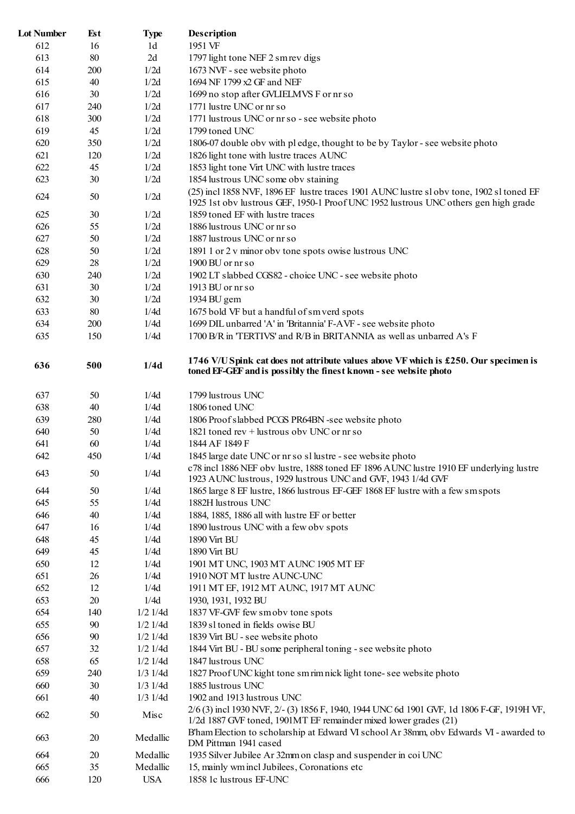| <b>Lot Number</b> | Est | <b>Type</b>    | <b>Description</b>                                                                                                                                                              |
|-------------------|-----|----------------|---------------------------------------------------------------------------------------------------------------------------------------------------------------------------------|
| 612               | 16  | 1 <sub>d</sub> | 1951 VF                                                                                                                                                                         |
| 613               | 80  | 2d             | 1797 light tone NEF 2 sm rev digs                                                                                                                                               |
| 614               | 200 | 1/2d           | 1673 NVF - see website photo                                                                                                                                                    |
| 615               | 40  | 1/2d           | 1694 NF 1799 x2 GF and NEF                                                                                                                                                      |
| 616               | 30  | 1/2d           | 1699 no stop after GVLIELMVS F or nr so                                                                                                                                         |
| 617               | 240 | 1/2d           | 1771 lustre UNC or nr so                                                                                                                                                        |
| 618               | 300 | 1/2d           | 1771 lustrous UNC or nr so - see website photo                                                                                                                                  |
| 619               | 45  | 1/2d           | 1799 toned UNC                                                                                                                                                                  |
| 620               | 350 | 1/2d           | 1806-07 double obv with pl edge, thought to be by Taylor - see website photo                                                                                                    |
| 621               |     | 1/2d           | 1826 light tone with lustre traces AUNC                                                                                                                                         |
|                   | 120 |                |                                                                                                                                                                                 |
| 622               | 45  | 1/2d           | 1853 light tone Virt UNC with lustre traces                                                                                                                                     |
| 623               | 30  | 1/2d           | 1854 lustrous UNC some obv staining                                                                                                                                             |
| 624               | 50  | 1/2d           | (25) incl 1858 NVF, 1896 EF lustre traces 1901 AUNC lustre sl obv tone, 1902 sl toned EF<br>1925 1st obv lustrous GEF, 1950-1 Proof UNC 1952 lustrous UNC others gen high grade |
| 625               | 30  | 1/2d           | 1859 toned EF with lustre traces                                                                                                                                                |
| 626               | 55  | 1/2d           | 1886 lustrous UNC or nr so                                                                                                                                                      |
| 627               | 50  | 1/2d           | 1887 lustrous UNC or nr so                                                                                                                                                      |
| 628               | 50  | 1/2d           | 1891 1 or 2 v minor obv tone spots owise lustrous UNC                                                                                                                           |
| 629               | 28  | 1/2d           | $1900$ BU or $nrs$ o                                                                                                                                                            |
| 630               | 240 | 1/2d           | 1902 LT slabbed CGS82 - choice UNC - see website photo                                                                                                                          |
| 631               | 30  | 1/2d           | 1913 BU or nr so                                                                                                                                                                |
| 632               | 30  | 1/2d           | 1934 BU gem                                                                                                                                                                     |
| 633               | 80  | 1/4d           | 1675 bold VF but a handful of sm verd spots                                                                                                                                     |
|                   |     |                |                                                                                                                                                                                 |
| 634               | 200 | 1/4d           | 1699 DIL unbarred 'A' in 'Britannia' F-AVF - see website photo                                                                                                                  |
| 635               | 150 | 1/4d           | 1700 B/R in 'TERTIVS' and R/B in BRITANNIA as well as unbarred A's F                                                                                                            |
| 636               | 500 | 1/4d           | 1746 V/U Spink cat does not attribute values above VF which is £250. Our specimen is<br>toned EF-GEF and is possibly the finest known - see website photo                       |
| 637               | 50  | 1/4d           | 1799 lustrous UNC                                                                                                                                                               |
| 638               | 40  | 1/4d           | 1806 toned UNC                                                                                                                                                                  |
| 639               | 280 | 1/4d           | 1806 Proof slabbed PCGS PR64BN -see website photo                                                                                                                               |
| 640               | 50  | 1/4d           | 1821 toned rev $+$ lustrous obv UNC or nr so                                                                                                                                    |
| 641               | 60  | 1/4d           | 1844 AF 1849 F                                                                                                                                                                  |
| 642               | 450 | 1/4d           | 1845 large date UNC or nr so sl lustre - see website photo                                                                                                                      |
|                   |     |                | c78 incl 1886 NEF obv lustre, 1888 toned EF 1896 AUNC lustre 1910 EF underlying lustre                                                                                          |
| 643               | 50  | 1/4d           | 1923 AUNC lustrous, 1929 lustrous UNC and GVF, 1943 1/4d GVF                                                                                                                    |
| 644               | 50  | 1/4d           | 1865 large 8 EF lustre, 1866 lustrous EF-GEF 1868 EF lustre with a few smspots                                                                                                  |
| 645               | 55  | 1/4d           | 1882H lustrous UNC                                                                                                                                                              |
| 646               | 40  | 1/4d           | 1884, 1885, 1886 all with lustre EF or better                                                                                                                                   |
|                   |     |                |                                                                                                                                                                                 |
| 647               | 16  | 1/4d           | 1890 lustrous UNC with a few obv spots                                                                                                                                          |
| 648               | 45  | 1/4d           | 1890 Virt BU                                                                                                                                                                    |
| 649               | 45  | 1/4d           | 1890 Virt BU                                                                                                                                                                    |
| 650               | 12  | 1/4d           | 1901 MT UNC, 1903 MT AUNC 1905 MT EF                                                                                                                                            |
| 651               | 26  | 1/4d           | 1910 NOT MT lustre AUNC-UNC                                                                                                                                                     |
| 652               | 12  | 1/4d           | 1911 MT EF, 1912 MT AUNC, 1917 MT AUNC                                                                                                                                          |
| 653               | 20  | 1/4d           | 1930, 1931, 1932 BU                                                                                                                                                             |
| 654               | 140 | $1/2$ $1/4d$   | 1837 VF-GVF few smobv tone spots                                                                                                                                                |
| 655               | 90  | $1/2$ $1/4d$   | 1839 sl toned in fields owise BU                                                                                                                                                |
| 656               | 90  | $1/2$ $1/4d$   | 1839 Virt BU - see website photo                                                                                                                                                |
| 657               | 32  | $1/2$ $1/4d$   | 1844 Virt BU - BU some peripheral toning - see website photo                                                                                                                    |
| 658               | 65  | $1/2$ $1/4d$   | 1847 lustrous UNC                                                                                                                                                               |
| 659               | 240 | $1/3$ $1/4d$   | 1827 Proof UNC kight tone sm rim nick light tone- see website photo                                                                                                             |
| 660               | 30  | $1/3$ $1/4d$   | 1885 lustrous UNC                                                                                                                                                               |
| 661               | 40  | $1/3$ $1/4d$   | 1902 and 1913 lustrous UNC                                                                                                                                                      |
| 662               | 50  | Misc           | 2/6 (3) incl 1930 NVF, 2/- (3) 1856 F, 1940, 1944 UNC 6d 1901 GVF, 1d 1806 F-GF, 1919H VF,                                                                                      |
|                   |     |                | 1/2d 1887 GVF toned, 1901MT EF remainder mixed lower grades (21)                                                                                                                |
| 663               | 20  | Medallic       | B'ham Election to scholarship at Edward VI school Ar 38mm, obv Edwards VI - awarded to<br>DM Pittman 1941 cased                                                                 |
| 664               | 20  | Medallic       | 1935 Silver Jubilee Ar 32mm on clasp and suspender in coi UNC                                                                                                                   |
| 665               | 35  | Medallic       | 15, mainly wm incl Jubilees, Coronations etc                                                                                                                                    |
| 666               | 120 | <b>USA</b>     | 1858 1c lustrous EF-UNC                                                                                                                                                         |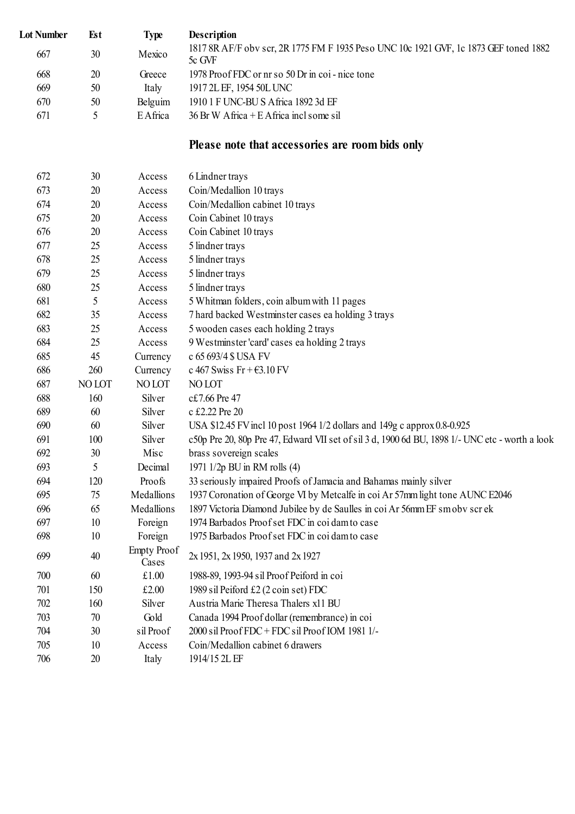| <b>Lot Number</b> | Est    | <b>Type</b>                 | <b>Description</b>                                                                              |
|-------------------|--------|-----------------------------|-------------------------------------------------------------------------------------------------|
| 667               | 30     | Mexico                      | 1817 8R AF/F obv scr, 2R 1775 FM F 1935 Peso UNC 10c 1921 GVF, 1c 1873 GEF toned 1882<br>5c GVF |
| 668               | 20     | Greece                      | 1978 Proof FDC or nr so 50 Dr in coi - nice tone                                                |
| 669               | 50     | Italy                       | 1917 2L EF, 1954 50L UNC                                                                        |
| 670               | 50     | Belguim                     | 1910 1 F UNC-BU S Africa 1892 3d EF                                                             |
| 671               | 5      | EAfrica                     | $36$ Br W Africa + E Africa incl some sil                                                       |
|                   |        |                             | Please note that accessories are room bids only                                                 |
| 672               | 30     | Access                      | 6 Lindner trays                                                                                 |
| 673               | 20     | Access                      | Coin/Medallion 10 trays                                                                         |
| 674               | 20     | Access                      | Coin/Medallion cabinet 10 trays                                                                 |
| 675               | 20     | Access                      | Coin Cabinet 10 trays                                                                           |
| 676               | 20     | Access                      | Coin Cabinet 10 trays                                                                           |
| 677               | 25     | Access                      | 5 lindner trays                                                                                 |
| 678               | 25     | Access                      | 5 lindner trays                                                                                 |
| 679               | 25     | Access                      | 5 lindner trays                                                                                 |
| 680               | 25     | Access                      | 5 lindner trays                                                                                 |
| 681               | 5      | Access                      | 5 Whitman folders, coin album with 11 pages                                                     |
| 682               | 35     | Access                      | 7 hard backed Westminster cases ea holding 3 trays                                              |
| 683               | 25     | Access                      | 5 wooden cases each holding 2 trays                                                             |
| 684               | 25     | Access                      | 9 Westminster 'card' cases ea holding 2 trays                                                   |
| 685               | 45     | Currency                    | c 65 693/4 \$ USA FV                                                                            |
| 686               | 260    | Currency                    | c 467 Swiss Fr + $\epsilon$ 3.10 FV                                                             |
| 687               | NO LOT | NO LOT                      | NO LOT                                                                                          |
| 688               | 160    | Silver                      | c£7.66 Pre 47                                                                                   |
| 689               | 60     | Silver                      | c £2.22 Pre 20                                                                                  |
| 690               | 60     | Silver                      | USA \$12.45 FV incl 10 post 1964 1/2 dollars and 149g c approx 0.8-0.925                        |
| 691               | 100    | Silver                      | c50p Pre 20, 80p Pre 47, Edward VII set of sil 3 d, 1900 6d BU, 1898 1/- UNC etc - worth a look |
| 692               | 30     | Misc                        | brass sovereign scales                                                                          |
| 693               | 5      | Decimal                     | 1971 1/2p BU in RM rolls (4)                                                                    |
| 694               | 120    | Proofs                      | 33 seriously impaired Proofs of Jamacia and Bahamas mainly silver                               |
| 695               | 75     | Medallions                  | 1937 Coronation of George VI by Metcalfe in coi Ar 57mm light tone AUNC E2046                   |
| 696               | 65     | Medallions                  | 1897 Victoria Diamond Jubilee by de Saulles in coi Ar 56mm EF sm obv scr ek                     |
| 697               | 10     | Foreign                     | 1974 Barbados Proof set FDC in coi dam to case                                                  |
| 698               | 10     | Foreign                     | 1975 Barbados Proof set FDC in coi dam to case                                                  |
| 699               | 40     | <b>Empty Proof</b><br>Cases | 2x 1951, 2x 1950, 1937 and 2x 1927                                                              |
| 700               | 60     | £1.00                       | 1988-89, 1993-94 sil Proof Peiford in coi                                                       |
| 701               | 150    | £2.00                       | 1989 sil Peiford £2 (2 coin set) FDC                                                            |
| 702               | 160    | Silver                      | Austria Marie Theresa Thalers x11 BU                                                            |
| 703               | 70     | Gold                        | Canada 1994 Proof dollar (remembrance) in coi                                                   |
| 704               | 30     | sil Proof                   | 2000 sil Proof FDC + FDC sil Proof IOM 1981 1/-                                                 |
| 705               | 10     | Access                      | Coin/Medallion cabinet 6 drawers                                                                |
| 706               | 20     | Italy                       | 1914/15 2L EF                                                                                   |